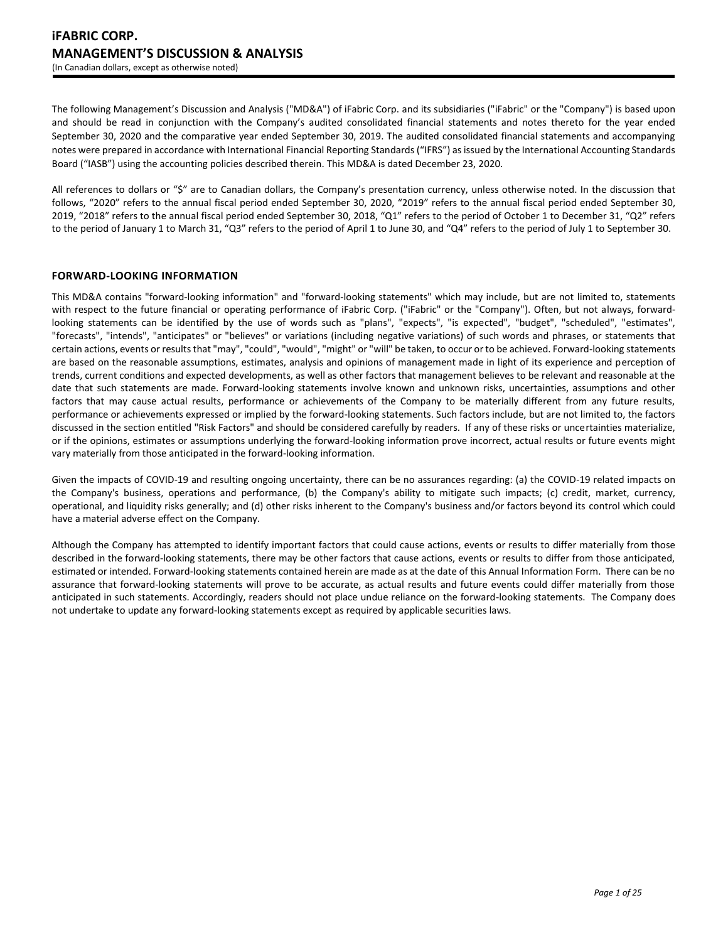The following Management's Discussion and Analysis ("MD&A") of iFabric Corp. and its subsidiaries ("iFabric" or the "Company") is based upon and should be read in conjunction with the Company's audited consolidated financial statements and notes thereto for the year ended September 30, 2020 and the comparative year ended September 30, 2019. The audited consolidated financial statements and accompanying notes were prepared in accordance with International Financial Reporting Standards ("IFRS") as issued by the International Accounting Standards Board ("IASB") using the accounting policies described therein. This MD&A is dated December 23, 2020.

All references to dollars or "\$" are to Canadian dollars, the Company's presentation currency, unless otherwise noted. In the discussion that follows, "2020" refers to the annual fiscal period ended September 30, 2020, "2019" refers to the annual fiscal period ended September 30, 2019, "2018" refers to the annual fiscal period ended September 30, 2018, "Q1" refers to the period of October 1 to December 31, "Q2" refers to the period of January 1 to March 31, "Q3" refers to the period of April 1 to June 30, and "Q4" refers to the period of July 1 to September 30.

# **FORWARD-LOOKING INFORMATION**

This MD&A contains "forward-looking information" and "forward-looking statements" which may include, but are not limited to, statements with respect to the future financial or operating performance of iFabric Corp. ("iFabric" or the "Company"). Often, but not always, forwardlooking statements can be identified by the use of words such as "plans", "expects", "is expected", "budget", "scheduled", "estimates", "forecasts", "intends", "anticipates" or "believes" or variations (including negative variations) of such words and phrases, or statements that certain actions, events or results that "may", "could", "would", "might" or "will" be taken, to occur or to be achieved. Forward-looking statements are based on the reasonable assumptions, estimates, analysis and opinions of management made in light of its experience and perception of trends, current conditions and expected developments, as well as other factors that management believes to be relevant and reasonable at the date that such statements are made. Forward-looking statements involve known and unknown risks, uncertainties, assumptions and other factors that may cause actual results, performance or achievements of the Company to be materially different from any future results, performance or achievements expressed or implied by the forward-looking statements. Such factors include, but are not limited to, the factors discussed in the section entitled "Risk Factors" and should be considered carefully by readers. If any of these risks or uncertainties materialize, or if the opinions, estimates or assumptions underlying the forward-looking information prove incorrect, actual results or future events might vary materially from those anticipated in the forward-looking information.

Given the impacts of COVID-19 and resulting ongoing uncertainty, there can be no assurances regarding: (a) the COVID-19 related impacts on the Company's business, operations and performance, (b) the Company's ability to mitigate such impacts; (c) credit, market, currency, operational, and liquidity risks generally; and (d) other risks inherent to the Company's business and/or factors beyond its control which could have a material adverse effect on the Company.

Although the Company has attempted to identify important factors that could cause actions, events or results to differ materially from those described in the forward-looking statements, there may be other factors that cause actions, events or results to differ from those anticipated, estimated or intended. Forward-looking statements contained herein are made as at the date of this Annual Information Form. There can be no assurance that forward-looking statements will prove to be accurate, as actual results and future events could differ materially from those anticipated in such statements. Accordingly, readers should not place undue reliance on the forward-looking statements. The Company does not undertake to update any forward-looking statements except as required by applicable securities laws.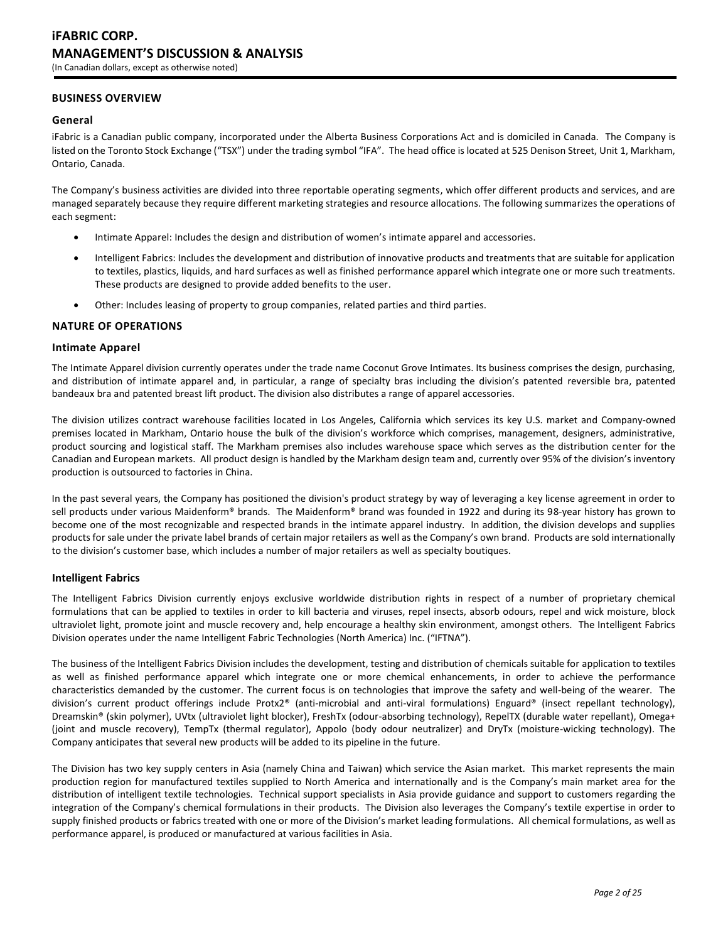# **BUSINESS OVERVIEW**

### **General**

iFabric is a Canadian public company, incorporated under the Alberta Business Corporations Act and is domiciled in Canada. The Company is listed on the Toronto Stock Exchange ("TSX") under the trading symbol "IFA". The head office is located at 525 Denison Street, Unit 1, Markham, Ontario, Canada.

The Company's business activities are divided into three reportable operating segments, which offer different products and services, and are managed separately because they require different marketing strategies and resource allocations. The following summarizes the operations of each segment:

- Intimate Apparel: Includes the design and distribution of women's intimate apparel and accessories.
- Intelligent Fabrics: Includes the development and distribution of innovative products and treatments that are suitable for application to textiles, plastics, liquids, and hard surfaces as well as finished performance apparel which integrate one or more such treatments. These products are designed to provide added benefits to the user.
- Other: Includes leasing of property to group companies, related parties and third parties.

### **NATURE OF OPERATIONS**

#### **Intimate Apparel**

The Intimate Apparel division currently operates under the trade name Coconut Grove Intimates. Its business comprises the design, purchasing, and distribution of intimate apparel and, in particular, a range of specialty bras including the division's patented reversible bra, patented bandeaux bra and patented breast lift product. The division also distributes a range of apparel accessories.

The division utilizes contract warehouse facilities located in Los Angeles, California which services its key U.S. market and Company-owned premises located in Markham, Ontario house the bulk of the division's workforce which comprises, management, designers, administrative, product sourcing and logistical staff. The Markham premises also includes warehouse space which serves as the distribution center for the Canadian and European markets. All product design is handled by the Markham design team and, currently over 95% of the division's inventory production is outsourced to factories in China.

In the past several years, the Company has positioned the division's product strategy by way of leveraging a key license agreement in order to sell products under various Maidenform® brands. The Maidenform® brand was founded in 1922 and during its 98-year history has grown to become one of the most recognizable and respected brands in the intimate apparel industry. In addition, the division develops and supplies products for sale under the private label brands of certain major retailers as well as the Company's own brand. Products are sold internationally to the division's customer base, which includes a number of major retailers as well as specialty boutiques.

### **Intelligent Fabrics**

The Intelligent Fabrics Division currently enjoys exclusive worldwide distribution rights in respect of a number of proprietary chemical formulations that can be applied to textiles in order to kill bacteria and viruses, repel insects, absorb odours, repel and wick moisture, block ultraviolet light, promote joint and muscle recovery and, help encourage a healthy skin environment, amongst others. The Intelligent Fabrics Division operates under the name Intelligent Fabric Technologies (North America) Inc. ("IFTNA").

The business of the Intelligent Fabrics Division includes the development, testing and distribution of chemicals suitable for application to textiles as well as finished performance apparel which integrate one or more chemical enhancements, in order to achieve the performance characteristics demanded by the customer. The current focus is on technologies that improve the safety and well-being of the wearer. The division's current product offerings include Protx2® (anti-microbial and anti-viral formulations) Enguard® (insect repellant technology), Dreamskin® (skin polymer), UVtx (ultraviolet light blocker), FreshTx (odour-absorbing technology), RepelTX (durable water repellant), Omega+ (joint and muscle recovery), TempTx (thermal regulator), Appolo (body odour neutralizer) and DryTx (moisture-wicking technology). The Company anticipates that several new products will be added to its pipeline in the future.

The Division has two key supply centers in Asia (namely China and Taiwan) which service the Asian market. This market represents the main production region for manufactured textiles supplied to North America and internationally and is the Company's main market area for the distribution of intelligent textile technologies. Technical support specialists in Asia provide guidance and support to customers regarding the integration of the Company's chemical formulations in their products. The Division also leverages the Company's textile expertise in order to supply finished products or fabrics treated with one or more of the Division's market leading formulations. All chemical formulations, as well as performance apparel, is produced or manufactured at various facilities in Asia.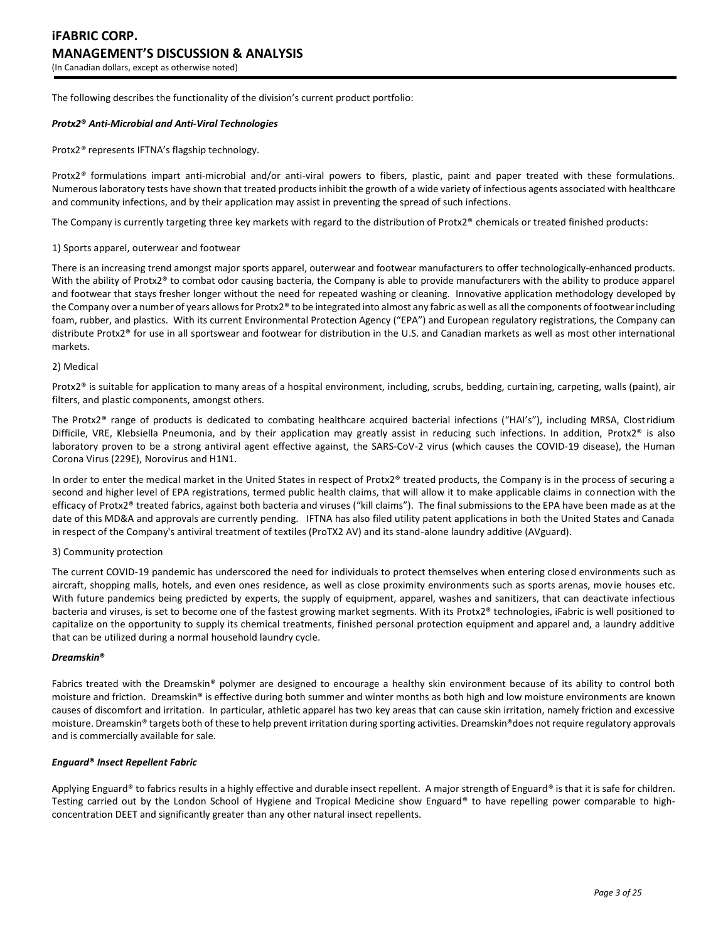The following describes the functionality of the division's current product portfolio:

### *Protx2***®** *Anti-Microbial and Anti-Viral Technologies*

Protx2*®* represents IFTNA's flagship technology.

Protx2*®* formulations impart anti-microbial and/or anti-viral powers to fibers, plastic, paint and paper treated with these formulations. Numerous laboratory tests have shown that treated products inhibit the growth of a wide variety of infectious agents associated with healthcare and community infections, and by their application may assist in preventing the spread of such infections.

The Company is currently targeting three key markets with regard to the distribution of Protx2® chemicals or treated finished products:

### 1) Sports apparel, outerwear and footwear

There is an increasing trend amongst major sports apparel, outerwear and footwear manufacturers to offer technologically-enhanced products. With the ability of Protx2® to combat odor causing bacteria, the Company is able to provide manufacturers with the ability to produce apparel and footwear that stays fresher longer without the need for repeated washing or cleaning. Innovative application methodology developed by the Company over a number of years allows for Protx2® to be integrated into almost any fabric as well as all the components of footwear including foam, rubber, and plastics. With its current Environmental Protection Agency ("EPA") and European regulatory registrations, the Company can distribute Protx2® for use in all sportswear and footwear for distribution in the U.S. and Canadian markets as well as most other international markets.

### 2) Medical

Protx2® is suitable for application to many areas of a hospital environment, including, scrubs, bedding, curtaining, carpeting, walls (paint), air filters, and plastic components, amongst others.

The Protx2® range of products is dedicated to combating healthcare acquired bacterial infections ("HAI's"), including MRSA, Clostridium Difficile, VRE, Klebsiella Pneumonia, and by their application may greatly assist in reducing such infections. In addition, Protx2® is also laboratory proven to be a strong antiviral agent effective against, the SARS-CoV-2 virus (which causes the COVID-19 disease), the Human Corona Virus (229E), Norovirus and H1N1.

In order to enter the medical market in the United States in respect of Protx2® treated products, the Company is in the process of securing a second and higher level of EPA registrations, termed public health claims, that will allow it to make applicable claims in connection with the efficacy of Protx2® treated fabrics, against both bacteria and viruses ("kill claims"). The final submissions to the EPA have been made as at the date of this MD&A and approvals are currently pending. IFTNA has also filed utility patent applications in both the United States and Canada in respect of the Company's antiviral treatment of textiles (ProTX2 AV) and its stand-alone laundry additive (AVguard).

### 3) Community protection

The current COVID-19 pandemic has underscored the need for individuals to protect themselves when entering closed environments such as aircraft, shopping malls, hotels, and even ones residence, as well as close proximity environments such as sports arenas, movie houses etc. With future pandemics being predicted by experts, the supply of equipment, apparel, washes and sanitizers, that can deactivate infectious bacteria and viruses, is set to become one of the fastest growing market segments. With its Protx2® technologies, iFabric is well positioned to capitalize on the opportunity to supply its chemical treatments, finished personal protection equipment and apparel and, a laundry additive that can be utilized during a normal household laundry cycle.

### *Dreamskin***®**

Fabrics treated with the Dreamskin® polymer are designed to encourage a healthy skin environment because of its ability to control both moisture and friction. Dreamskin® is effective during both summer and winter months as both high and low moisture environments are known causes of discomfort and irritation. In particular, athletic apparel has two key areas that can cause skin irritation, namely friction and excessive moisture. Dreamskin® targets both of these to help prevent irritation during sporting activities. Dreamskin®does not require regulatory approvals and is commercially available for sale.

### *Enguard***®** *Insect Repellent Fabric*

Applying Enguard® to fabrics results in a highly effective and durable insect repellent. A major strength of Enguard® is that it is safe for children. Testing carried out by the London School of Hygiene and Tropical Medicine show Enguard® to have repelling power comparable to highconcentration DEET and significantly greater than any other natural insect repellents.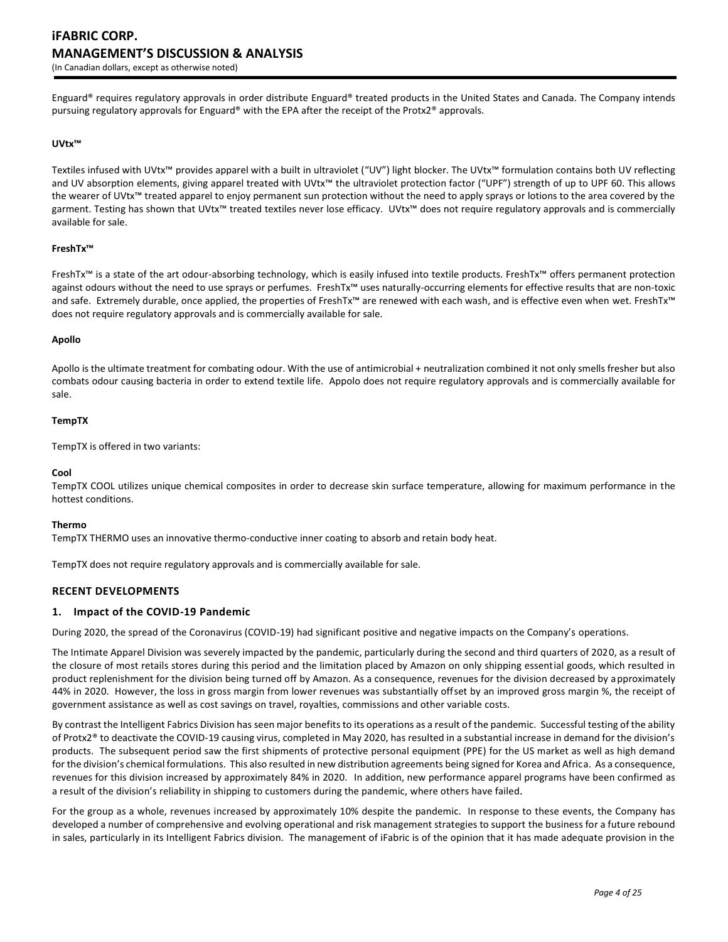Enguard® requires regulatory approvals in order distribute Enguard® treated products in the United States and Canada. The Company intends pursuing regulatory approvals for Enguard® with the EPA after the receipt of the Protx2® approvals.

# **UVtx™**

Textiles infused with UVtx™ provides apparel with a built in ultraviolet ("UV") light blocker. The UVtx™ formulation contains both UV reflecting and UV absorption elements, giving apparel treated with UVtx™ the ultraviolet protection factor ("UPF") strength of up to UPF 60. This allows the wearer of UVtx™ treated apparel to enjoy permanent sun protection without the need to apply sprays or lotions to the area covered by the garment. Testing has shown that UVtx™ treated textiles never lose efficacy. UVtx™ does not require regulatory approvals and is commercially available for sale.

### **FreshTx™**

FreshTx™ is a state of the art odour-absorbing technology, which is easily infused into textile products. FreshTx™ offers permanent protection against odours without the need to use sprays or perfumes. FreshTx™ uses naturally-occurring elements for effective results that are non-toxic and safe. Extremely durable, once applied, the properties of FreshTx™ are renewed with each wash, and is effective even when wet. FreshTx™ does not require regulatory approvals and is commercially available for sale.

#### **Apollo**

Apollo is the ultimate treatment for combating odour. With the use of antimicrobial + neutralization combined it not only smells fresher but also combats odour causing bacteria in order to extend textile life. Appolo does not require regulatory approvals and is commercially available for sale.

#### **TempTX**

TempTX is offered in two variants:

#### **Cool**

TempTX COOL utilizes unique chemical composites in order to decrease skin surface temperature, allowing for maximum performance in the hottest conditions.

#### **Thermo**

TempTX THERMO uses an innovative thermo-conductive inner coating to absorb and retain body heat.

TempTX does not require regulatory approvals and is commercially available for sale.

### **RECENT DEVELOPMENTS**

### **1. Impact of the COVID-19 Pandemic**

During 2020, the spread of the Coronavirus (COVID-19) had significant positive and negative impacts on the Company's operations.

The Intimate Apparel Division was severely impacted by the pandemic, particularly during the second and third quarters of 2020, as a result of the closure of most retails stores during this period and the limitation placed by Amazon on only shipping essential goods, which resulted in product replenishment for the division being turned off by Amazon. As a consequence, revenues for the division decreased by approximately 44% in 2020. However, the loss in gross margin from lower revenues was substantially offset by an improved gross margin %, the receipt of government assistance as well as cost savings on travel, royalties, commissions and other variable costs.

By contrast the Intelligent Fabrics Division has seen major benefits to its operations as a result of the pandemic. Successful testing of the ability of Protx2® to deactivate the COVID-19 causing virus, completed in May 2020, has resulted in a substantial increase in demand for the division's products. The subsequent period saw the first shipments of protective personal equipment (PPE) for the US market as well as high demand for the division's chemical formulations. This also resulted in new distribution agreements being signed for Korea and Africa. As a consequence, revenues for this division increased by approximately 84% in 2020. In addition, new performance apparel programs have been confirmed as a result of the division's reliability in shipping to customers during the pandemic, where others have failed.

For the group as a whole, revenues increased by approximately 10% despite the pandemic. In response to these events, the Company has developed a number of comprehensive and evolving operational and risk management strategies to support the business for a future rebound in sales, particularly in its Intelligent Fabrics division. The management of iFabric is of the opinion that it has made adequate provision in the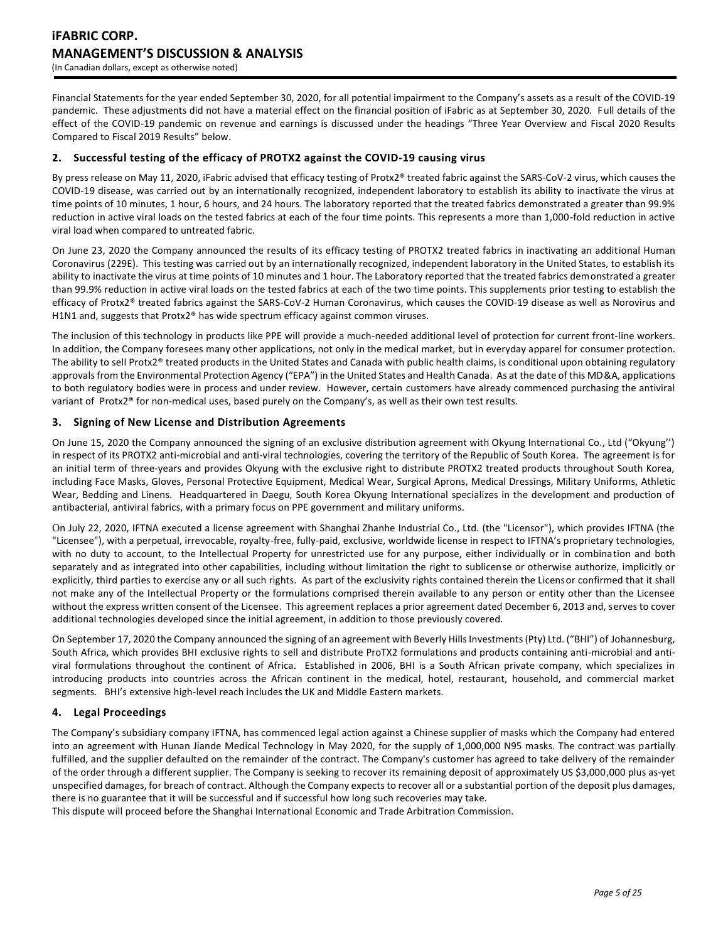Financial Statements for the year ended September 30, 2020, for all potential impairment to the Company's assets as a result of the COVID-19 pandemic. These adjustments did not have a material effect on the financial position of iFabric as at September 30, 2020. Full details of the effect of the COVID-19 pandemic on revenue and earnings is discussed under the headings "Three Year Overview and Fiscal 2020 Results Compared to Fiscal 2019 Results" below.

# **2. Successful testing of the efficacy of PROTX2 against the COVID-19 causing virus**

By press release on May 11, 2020, iFabric advised that efficacy testing of Protx2® treated fabric against the SARS-CoV-2 virus, which causes the COVID-19 disease, was carried out by an internationally recognized, independent laboratory to establish its ability to inactivate the virus at time points of 10 minutes, 1 hour, 6 hours, and 24 hours. The laboratory reported that the treated fabrics demonstrated a greater than 99.9% reduction in active viral loads on the tested fabrics at each of the four time points. This represents a more than 1,000-fold reduction in active viral load when compared to untreated fabric.

On June 23, 2020 the Company announced the results of its efficacy testing of PROTX2 treated fabrics in inactivating an additional Human Coronavirus (229E). This testing was carried out by an internationally recognized, independent laboratory in the United States, to establish its ability to inactivate the virus at time points of 10 minutes and 1 hour. The Laboratory reported that the treated fabrics demonstrated a greater than 99.9% reduction in active viral loads on the tested fabrics at each of the two time points. This supplements prior testing to establish the efficacy of Protx2® treated fabrics against the SARS-CoV-2 Human Coronavirus, which causes the COVID-19 disease as well as Norovirus and H1N1 and, suggests that Protx2® has wide spectrum efficacy against common viruses.

The inclusion of this technology in products like PPE will provide a much-needed additional level of protection for current front-line workers. In addition, the Company foresees many other applications, not only in the medical market, but in everyday apparel for consumer protection. The ability to sell Protx2® treated products in the United States and Canada with public health claims, is conditional upon obtaining regulatory approvals from the Environmental Protection Agency ("EPA") in the United States and Health Canada. As at the date of this MD&A, applications to both regulatory bodies were in process and under review. However, certain customers have already commenced purchasing the antiviral variant of Protx2® for non-medical uses, based purely on the Company's, as well as their own test results.

# **3. Signing of New License and Distribution Agreements**

On June 15, 2020 the Company announced the signing of an exclusive distribution agreement with Okyung International Co., Ltd ("Okyung'') in respect of its PROTX2 anti-microbial and anti-viral technologies, covering the territory of the Republic of South Korea. The agreement is for an initial term of three-years and provides Okyung with the exclusive right to distribute PROTX2 treated products throughout South Korea, including Face Masks, Gloves, Personal Protective Equipment, Medical Wear, Surgical Aprons, Medical Dressings, Military Uniforms, Athletic Wear, Bedding and Linens. Headquartered in Daegu, South Korea Okyung International specializes in the development and production of antibacterial, antiviral fabrics, with a primary focus on PPE government and military uniforms.

On July 22, 2020, IFTNA executed a license agreement with Shanghai Zhanhe Industrial Co., Ltd. (the "Licensor"), which provides IFTNA (the "Licensee"), with a perpetual, irrevocable, royalty-free, fully-paid, exclusive, worldwide license in respect to IFTNA's proprietary technologies, with no duty to account, to the Intellectual Property for unrestricted use for any purpose, either individually or in combination and both separately and as integrated into other capabilities, including without limitation the right to sublicense or otherwise authorize, implicitly or explicitly, third parties to exercise any or all such rights. As part of the exclusivity rights contained therein the Licensor confirmed that it shall not make any of the Intellectual Property or the formulations comprised therein available to any person or entity other than the Licensee without the express written consent of the Licensee. This agreement replaces a prior agreement dated December 6, 2013 and, serves to cover additional technologies developed since the initial agreement, in addition to those previously covered.

On September 17, 2020 the Company announced the signing of an agreement with Beverly Hills Investments (Pty) Ltd. ("BHI") of Johannesburg, South Africa, which provides BHI exclusive rights to sell and distribute ProTX2 formulations and products containing anti-microbial and antiviral formulations throughout the continent of Africa. Established in 2006, BHI is a South African private company, which specializes in introducing products into countries across the African continent in the medical, hotel, restaurant, household, and commercial market segments. BHI's extensive high-level reach includes the UK and Middle Eastern markets.

# **4. Legal Proceedings**

The Company's subsidiary company IFTNA, has commenced legal action against a Chinese supplier of masks which the Company had entered into an agreement with Hunan Jiande Medical Technology in May 2020, for the supply of 1,000,000 N95 masks. The contract was partially fulfilled, and the supplier defaulted on the remainder of the contract. The Company's customer has agreed to take delivery of the remainder of the order through a different supplier. The Company is seeking to recover its remaining deposit of approximately US \$3,000,000 plus as-yet unspecified damages, for breach of contract. Although the Company expects to recover all or a substantial portion of the deposit plus damages, there is no guarantee that it will be successful and if successful how long such recoveries may take.

This dispute will proceed before the Shanghai International Economic and Trade Arbitration Commission.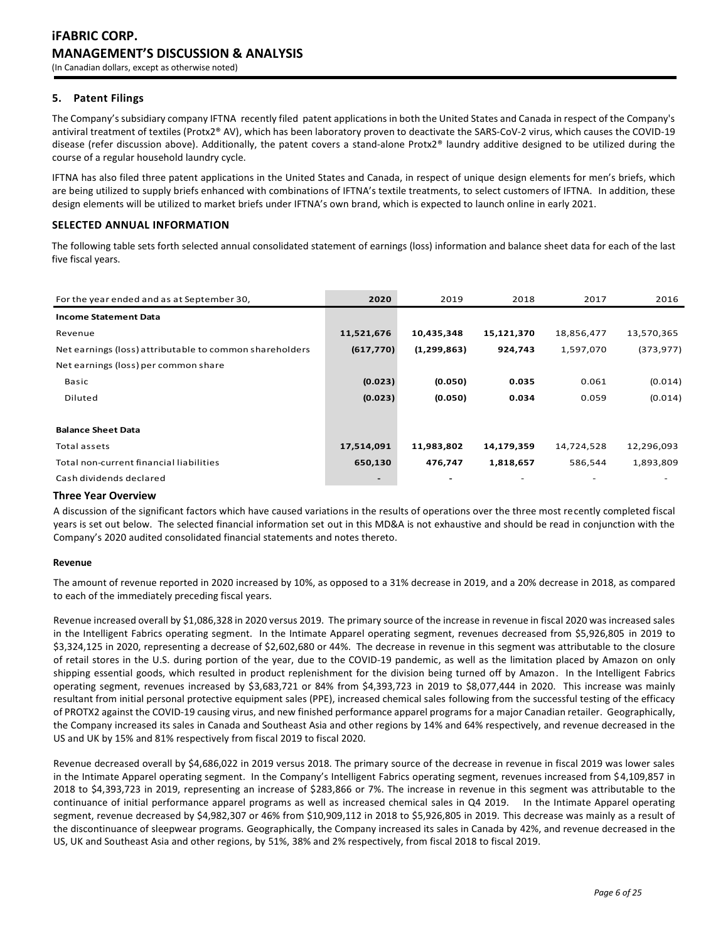# **5. Patent Filings**

The Company's subsidiary company IFTNA recently filed patent applications in both the United States and Canada in respect of the Company's antiviral treatment of textiles (Protx2® AV), which has been laboratory proven to deactivate the SARS-CoV-2 virus, which causes the COVID-19 disease (refer discussion above). Additionally, the patent covers a stand-alone Protx2® laundry additive designed to be utilized during the course of a regular household laundry cycle.

IFTNA has also filed three patent applications in the United States and Canada, in respect of unique design elements for men's briefs, which are being utilized to supply briefs enhanced with combinations of IFTNA's textile treatments, to select customers of IFTNA. In addition, these design elements will be utilized to market briefs under IFTNA's own brand, which is expected to launch online in early 2021.

# **SELECTED ANNUAL INFORMATION**

The following table sets forth selected annual consolidated statement of earnings (loss) information and balance sheet data for each of the last five fiscal years.

| For the year ended and as at September 30,              | 2020       | 2019          | 2018       | 2017       | 2016       |
|---------------------------------------------------------|------------|---------------|------------|------------|------------|
| <b>Income Statement Data</b>                            |            |               |            |            |            |
| Revenue                                                 | 11,521,676 | 10,435,348    | 15,121,370 | 18,856,477 | 13,570,365 |
| Net earnings (loss) attributable to common shareholders | (617, 770) | (1, 299, 863) | 924,743    | 1,597,070  | (373, 977) |
| Net earnings (loss) per common share                    |            |               |            |            |            |
| Basic                                                   | (0.023)    | (0.050)       | 0.035      | 0.061      | (0.014)    |
| Diluted                                                 | (0.023)    | (0.050)       | 0.034      | 0.059      | (0.014)    |
|                                                         |            |               |            |            |            |
| <b>Balance Sheet Data</b>                               |            |               |            |            |            |
| Total assets                                            | 17,514,091 | 11,983,802    | 14,179,359 | 14,724,528 | 12,296,093 |
| Total non-current financial liabilities                 | 650,130    | 476,747       | 1,818,657  | 586,544    | 1,893,809  |
| Cash dividends declared                                 |            |               |            |            |            |

### **Three Year Overview**

A discussion of the significant factors which have caused variations in the results of operations over the three most recently completed fiscal years is set out below. The selected financial information set out in this MD&A is not exhaustive and should be read in conjunction with the Company's 2020 audited consolidated financial statements and notes thereto.

### **Revenue**

The amount of revenue reported in 2020 increased by 10%, as opposed to a 31% decrease in 2019, and a 20% decrease in 2018, as compared to each of the immediately preceding fiscal years.

Revenue increased overall by \$1,086,328 in 2020 versus 2019. The primary source of the increase in revenue in fiscal 2020 was increased sales in the Intelligent Fabrics operating segment. In the Intimate Apparel operating segment, revenues decreased from \$5,926,805 in 2019 to \$3,324,125 in 2020, representing a decrease of \$2,602,680 or 44%. The decrease in revenue in this segment was attributable to the closure of retail stores in the U.S. during portion of the year, due to the COVID-19 pandemic, as well as the limitation placed by Amazon on only shipping essential goods, which resulted in product replenishment for the division being turned off by Amazon. In the Intelligent Fabrics operating segment, revenues increased by \$3,683,721 or 84% from \$4,393,723 in 2019 to \$8,077,444 in 2020. This increase was mainly resultant from initial personal protective equipment sales (PPE), increased chemical sales following from the successful testing of the efficacy of PROTX2 against the COVID-19 causing virus, and new finished performance apparel programs for a major Canadian retailer. Geographically, the Company increased its sales in Canada and Southeast Asia and other regions by 14% and 64% respectively, and revenue decreased in the US and UK by 15% and 81% respectively from fiscal 2019 to fiscal 2020.

Revenue decreased overall by \$4,686,022 in 2019 versus 2018. The primary source of the decrease in revenue in fiscal 2019 was lower sales in the Intimate Apparel operating segment. In the Company's Intelligent Fabrics operating segment, revenues increased from \$4,109,857 in 2018 to \$4,393,723 in 2019, representing an increase of \$283,866 or 7%. The increase in revenue in this segment was attributable to the continuance of initial performance apparel programs as well as increased chemical sales in Q4 2019. In the Intimate Apparel operating segment, revenue decreased by \$4,982,307 or 46% from \$10,909,112 in 2018 to \$5,926,805 in 2019. This decrease was mainly as a result of the discontinuance of sleepwear programs. Geographically, the Company increased its sales in Canada by 42%, and revenue decreased in the US, UK and Southeast Asia and other regions, by 51%, 38% and 2% respectively, from fiscal 2018 to fiscal 2019.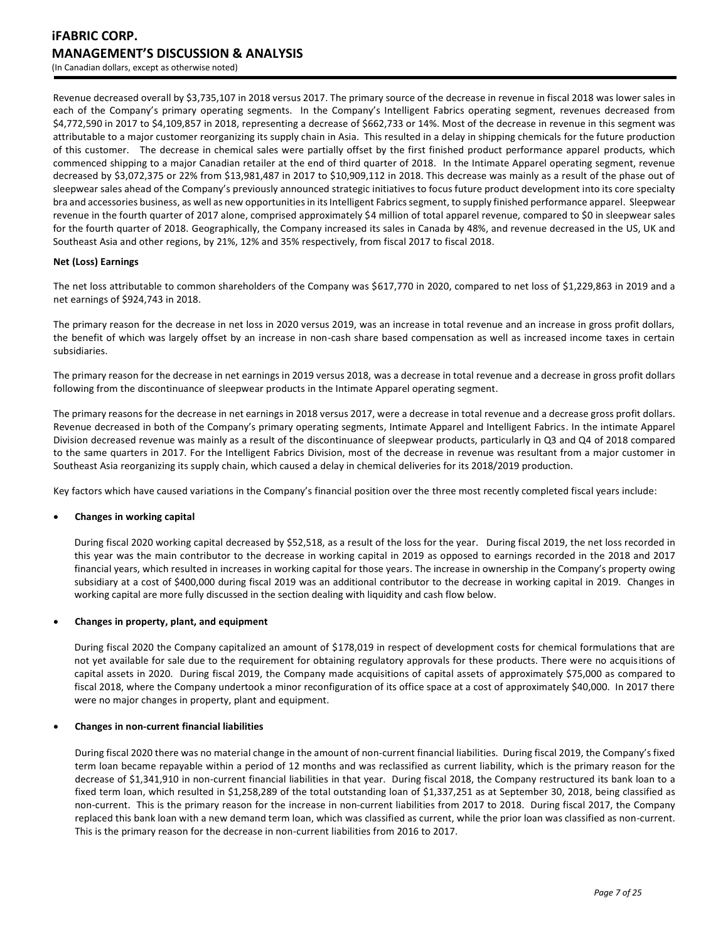Revenue decreased overall by \$3,735,107 in 2018 versus 2017. The primary source of the decrease in revenue in fiscal 2018 was lower sales in each of the Company's primary operating segments. In the Company's Intelligent Fabrics operating segment, revenues decreased from \$4,772,590 in 2017 to \$4,109,857 in 2018, representing a decrease of \$662,733 or 14%. Most of the decrease in revenue in this segment was attributable to a major customer reorganizing its supply chain in Asia. This resulted in a delay in shipping chemicals for the future production of this customer. The decrease in chemical sales were partially offset by the first finished product performance apparel products, which commenced shipping to a major Canadian retailer at the end of third quarter of 2018. In the Intimate Apparel operating segment, revenue decreased by \$3,072,375 or 22% from \$13,981,487 in 2017 to \$10,909,112 in 2018. This decrease was mainly as a result of the phase out of sleepwear sales ahead of the Company's previously announced strategic initiatives to focus future product development into its core specialty bra and accessories business, as well as new opportunities in its Intelligent Fabrics segment, to supply finished performance apparel. Sleepwear revenue in the fourth quarter of 2017 alone, comprised approximately \$4 million of total apparel revenue, compared to \$0 in sleepwear sales for the fourth quarter of 2018. Geographically, the Company increased its sales in Canada by 48%, and revenue decreased in the US, UK and Southeast Asia and other regions, by 21%, 12% and 35% respectively, from fiscal 2017 to fiscal 2018.

## **Net (Loss) Earnings**

The net loss attributable to common shareholders of the Company was \$617,770 in 2020, compared to net loss of \$1,229,863 in 2019 and a net earnings of \$924,743 in 2018.

The primary reason for the decrease in net loss in 2020 versus 2019, was an increase in total revenue and an increase in gross profit dollars, the benefit of which was largely offset by an increase in non-cash share based compensation as well as increased income taxes in certain subsidiaries.

The primary reason for the decrease in net earnings in 2019 versus 2018, was a decrease in total revenue and a decrease in gross profit dollars following from the discontinuance of sleepwear products in the Intimate Apparel operating segment.

The primary reasons for the decrease in net earnings in 2018 versus 2017, were a decrease in total revenue and a decrease gross profit dollars. Revenue decreased in both of the Company's primary operating segments, Intimate Apparel and Intelligent Fabrics. In the intimate Apparel Division decreased revenue was mainly as a result of the discontinuance of sleepwear products, particularly in Q3 and Q4 of 2018 compared to the same quarters in 2017. For the Intelligent Fabrics Division, most of the decrease in revenue was resultant from a major customer in Southeast Asia reorganizing its supply chain, which caused a delay in chemical deliveries for its 2018/2019 production.

Key factors which have caused variations in the Company's financial position over the three most recently completed fiscal years include:

### **Changes in working capital**

During fiscal 2020 working capital decreased by \$52,518, as a result of the loss for the year. During fiscal 2019, the net loss recorded in this year was the main contributor to the decrease in working capital in 2019 as opposed to earnings recorded in the 2018 and 2017 financial years, which resulted in increases in working capital for those years. The increase in ownership in the Company's property owing subsidiary at a cost of \$400,000 during fiscal 2019 was an additional contributor to the decrease in working capital in 2019. Changes in working capital are more fully discussed in the section dealing with liquidity and cash flow below.

### **Changes in property, plant, and equipment**

During fiscal 2020 the Company capitalized an amount of \$178,019 in respect of development costs for chemical formulations that are not yet available for sale due to the requirement for obtaining regulatory approvals for these products. There were no acquisitions of capital assets in 2020. During fiscal 2019, the Company made acquisitions of capital assets of approximately \$75,000 as compared to fiscal 2018, where the Company undertook a minor reconfiguration of its office space at a cost of approximately \$40,000. In 2017 there were no major changes in property, plant and equipment.

### **Changes in non-current financial liabilities**

During fiscal 2020 there was no material change in the amount of non-current financial liabilities. During fiscal 2019, the Company's fixed term loan became repayable within a period of 12 months and was reclassified as current liability, which is the primary reason for the decrease of \$1,341,910 in non-current financial liabilities in that year. During fiscal 2018, the Company restructured its bank loan to a fixed term loan, which resulted in \$1,258,289 of the total outstanding loan of \$1,337,251 as at September 30, 2018, being classified as non-current. This is the primary reason for the increase in non-current liabilities from 2017 to 2018. During fiscal 2017, the Company replaced this bank loan with a new demand term loan, which was classified as current, while the prior loan was classified as non-current. This is the primary reason for the decrease in non-current liabilities from 2016 to 2017.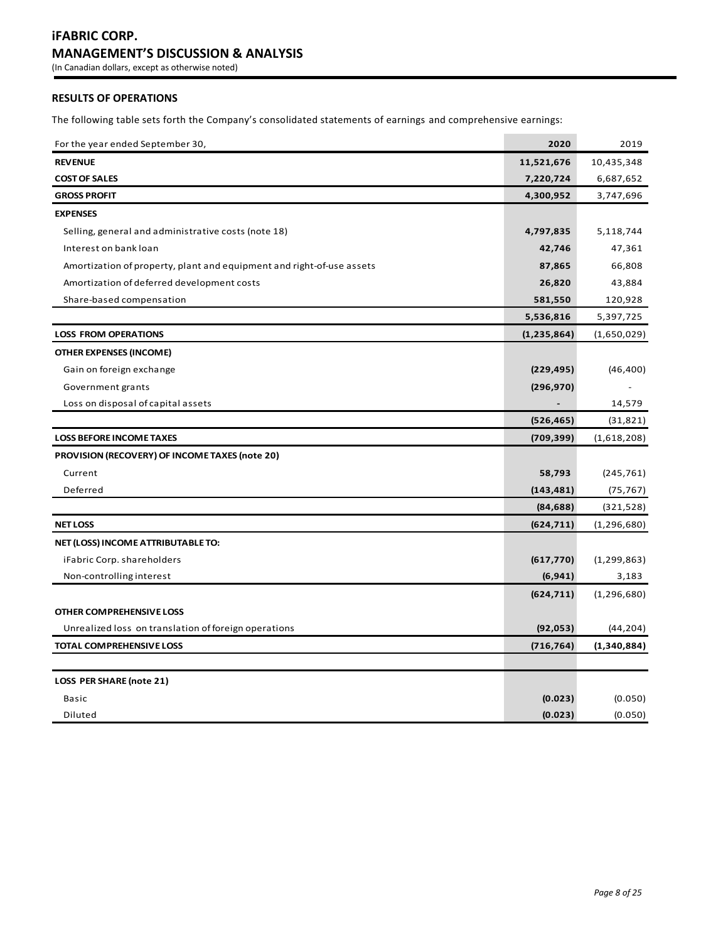# **RESULTS OF OPERATIONS**

The following table sets forth the Company's consolidated statements of earnings and comprehensive earnings:

| For the year ended September 30,                                      | 2020           | 2019          |
|-----------------------------------------------------------------------|----------------|---------------|
| <b>REVENUE</b>                                                        | 11,521,676     | 10,435,348    |
| <b>COST OF SALES</b>                                                  | 7,220,724      | 6,687,652     |
| <b>GROSS PROFIT</b>                                                   | 4,300,952      | 3,747,696     |
| <b>EXPENSES</b>                                                       |                |               |
| Selling, general and administrative costs (note 18)                   | 4,797,835      | 5,118,744     |
| Interest on bank loan                                                 | 42,746         | 47,361        |
| Amortization of property, plant and equipment and right-of-use assets | 87,865         | 66,808        |
| Amortization of deferred development costs                            | 26,820         | 43,884        |
| Share-based compensation                                              | 581,550        | 120,928       |
|                                                                       | 5,536,816      | 5,397,725     |
| <b>LOSS FROM OPERATIONS</b>                                           | (1,235,864)    | (1,650,029)   |
| <b>OTHER EXPENSES (INCOME)</b>                                        |                |               |
| Gain on foreign exchange                                              | (229, 495)     | (46, 400)     |
| Government grants                                                     | (296, 970)     |               |
| Loss on disposal of capital assets                                    | $\blacksquare$ | 14,579        |
|                                                                       | (526, 465)     | (31, 821)     |
| <b>LOSS BEFORE INCOME TAXES</b>                                       | (709, 399)     | (1,618,208)   |
| PROVISION (RECOVERY) OF INCOME TAXES (note 20)                        |                |               |
| Current                                                               | 58,793         | (245, 761)    |
| Deferred                                                              | (143, 481)     | (75, 767)     |
|                                                                       | (84, 688)      | (321, 528)    |
| <b>NET LOSS</b>                                                       | (624, 711)     | (1, 296, 680) |
| NET (LOSS) INCOME ATTRIBUTABLE TO:                                    |                |               |
| iFabric Corp. shareholders                                            | (617, 770)     | (1, 299, 863) |
| Non-controlling interest                                              | (6, 941)       | 3,183         |
|                                                                       | (624, 711)     | (1, 296, 680) |
| OTHER COMPREHENSIVE LOSS                                              |                |               |
| Unrealized loss on translation of foreign operations                  | (92, 053)      | (44, 204)     |
| TOTAL COMPREHENSIVE LOSS                                              | (716, 764)     | (1,340,884)   |
|                                                                       |                |               |
| <b>LOSS PER SHARE (note 21)</b>                                       |                |               |
| Basic                                                                 | (0.023)        | (0.050)       |
| Diluted                                                               | (0.023)        | (0.050)       |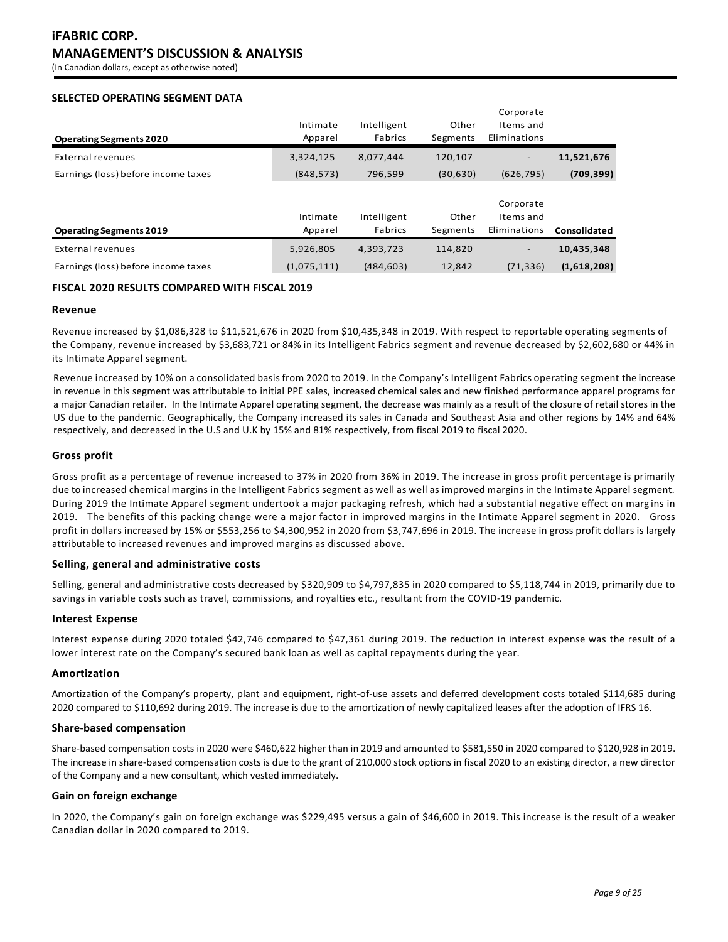(In Canadian dollars, except as otherwise noted)

# **SELECTED OPERATING SEGMENT DATA**

| <b>Operating Segments 2020</b>      | Intimate<br>Apparel | Intelligent<br>Fabrics | Other<br>Segments | Corporate<br>Items and<br>Eliminations |              |
|-------------------------------------|---------------------|------------------------|-------------------|----------------------------------------|--------------|
| External revenues                   | 3,324,125           | 8,077,444              | 120.107           | $\overline{\phantom{a}}$               | 11,521,676   |
| Earnings (loss) before income taxes | (848, 573)          | 796,599                | (30, 630)         | (626, 795)                             | (709, 399)   |
|                                     | Intimate            | Intelligent            | Other             | Corporate<br>Items and                 |              |
| <b>Operating Segments 2019</b>      | Apparel             | Fabrics                | Segments          | Eliminations                           | Consolidated |
| External revenues                   | 5,926,805           | 4,393,723              | 114,820           | $\overline{\phantom{0}}$               | 10,435,348   |
| Earnings (loss) before income taxes | (1,075,111)         | (484, 603)             | 12,842            | (71, 336)                              | (1,618,208)  |

# **FISCAL 2020 RESULTS COMPARED WITH FISCAL 2019**

### **Revenue**

Revenue increased by \$1,086,328 to \$11,521,676 in 2020 from \$10,435,348 in 2019. With respect to reportable operating segments of the Company, revenue increased by \$3,683,721 or 84% in its Intelligent Fabrics segment and revenue decreased by \$2,602,680 or 44% in its Intimate Apparel segment.

Revenue increased by 10% on a consolidated basis from 2020 to 2019. In the Company's Intelligent Fabrics operating segment the increase in revenue in this segment was attributable to initial PPE sales, increased chemical sales and new finished performance apparel programs for a major Canadian retailer. In the Intimate Apparel operating segment, the decrease was mainly as a result of the closure of retail stores in the US due to the pandemic. Geographically, the Company increased its sales in Canada and Southeast Asia and other regions by 14% and 64% respectively, and decreased in the U.S and U.K by 15% and 81% respectively, from fiscal 2019 to fiscal 2020.

# **Gross profit**

Gross profit as a percentage of revenue increased to 37% in 2020 from 36% in 2019. The increase in gross profit percentage is primarily due to increased chemical margins in the Intelligent Fabrics segment as well as well as improved margins in the Intimate Apparel segment. During 2019 the Intimate Apparel segment undertook a major packaging refresh, which had a substantial negative effect on marg ins in 2019. The benefits of this packing change were a major factor in improved margins in the Intimate Apparel segment in 2020. Gross profit in dollars increased by 15% or \$553,256 to \$4,300,952 in 2020 from \$3,747,696 in 2019. The increase in gross profit dollars is largely attributable to increased revenues and improved margins as discussed above.

### **Selling, general and administrative costs**

Selling, general and administrative costs decreased by \$320,909 to \$4,797,835 in 2020 compared to \$5,118,744 in 2019, primarily due to savings in variable costs such as travel, commissions, and royalties etc., resultant from the COVID-19 pandemic.

### **Interest Expense**

Interest expense during 2020 totaled \$42,746 compared to \$47,361 during 2019. The reduction in interest expense was the result of a lower interest rate on the Company's secured bank loan as well as capital repayments during the year.

### **Amortization**

Amortization of the Company's property, plant and equipment, right-of-use assets and deferred development costs totaled \$114,685 during 2020 compared to \$110,692 during 2019. The increase is due to the amortization of newly capitalized leases after the adoption of IFRS 16.

### **Share-based compensation**

Share-based compensation costs in 2020 were \$460,622 higher than in 2019 and amounted to \$581,550 in 2020 compared to \$120,928 in 2019. The increase in share-based compensation costs is due to the grant of 210,000 stock options in fiscal 2020 to an existing director, a new director of the Company and a new consultant, which vested immediately.

### **Gain on foreign exchange**

In 2020, the Company's gain on foreign exchange was \$229,495 versus a gain of \$46,600 in 2019. This increase is the result of a weaker Canadian dollar in 2020 compared to 2019.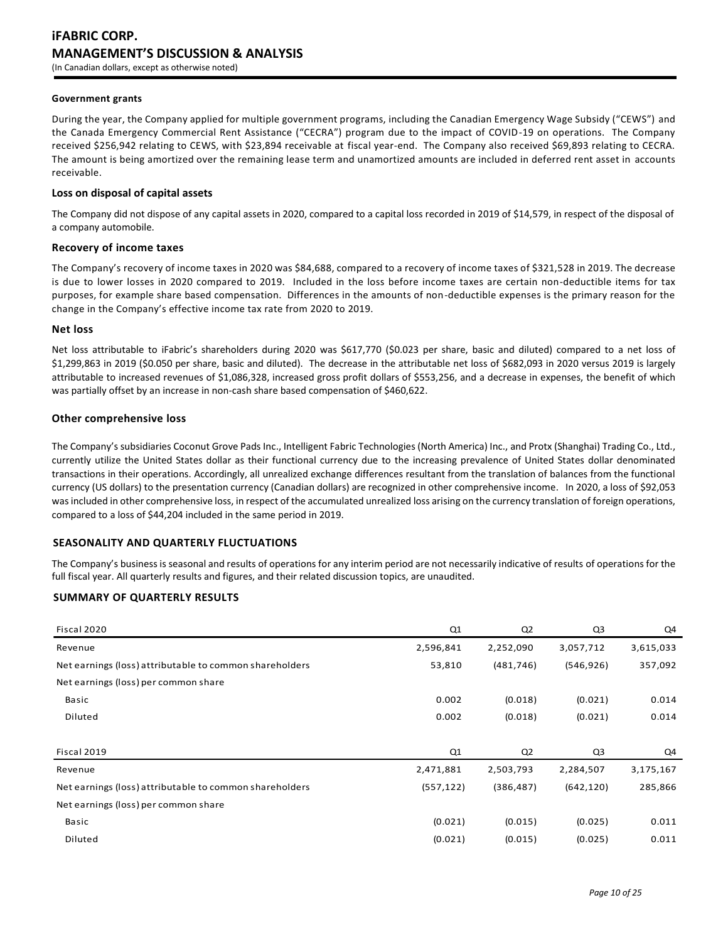#### **Government grants**

During the year, the Company applied for multiple government programs, including the Canadian Emergency Wage Subsidy ("CEWS") and the Canada Emergency Commercial Rent Assistance ("CECRA") program due to the impact of COVID-19 on operations. The Company received \$256,942 relating to CEWS, with \$23,894 receivable at fiscal year-end. The Company also received \$69,893 relating to CECRA. The amount is being amortized over the remaining lease term and unamortized amounts are included in deferred rent asset in accounts receivable.

#### **Loss on disposal of capital assets**

The Company did not dispose of any capital assets in 2020, compared to a capital loss recorded in 2019 of \$14,579, in respect of the disposal of a company automobile.

## **Recovery of income taxes**

The Company's recovery of income taxes in 2020 was \$84,688, compared to a recovery of income taxes of \$321,528 in 2019. The decrease is due to lower losses in 2020 compared to 2019. Included in the loss before income taxes are certain non-deductible items for tax purposes, for example share based compensation. Differences in the amounts of non-deductible expenses is the primary reason for the change in the Company's effective income tax rate from 2020 to 2019.

#### **Net loss**

Net loss attributable to iFabric's shareholders during 2020 was \$617,770 (\$0.023 per share, basic and diluted) compared to a net loss of \$1,299,863 in 2019 (\$0.050 per share, basic and diluted). The decrease in the attributable net loss of \$682,093 in 2020 versus 2019 is largely attributable to increased revenues of \$1,086,328, increased gross profit dollars of \$553,256, and a decrease in expenses, the benefit of which was partially offset by an increase in non-cash share based compensation of \$460,622.

## **Other comprehensive loss**

The Company's subsidiaries Coconut Grove Pads Inc., Intelligent Fabric Technologies (North America) Inc., and Protx (Shanghai) Trading Co., Ltd., currently utilize the United States dollar as their functional currency due to the increasing prevalence of United States dollar denominated transactions in their operations. Accordingly, all unrealized exchange differences resultant from the translation of balances from the functional currency (US dollars) to the presentation currency (Canadian dollars) are recognized in other comprehensive income. In 2020, a loss of \$92,053 was included in other comprehensive loss, in respect of the accumulated unrealized loss arising on the currency translation of foreign operations, compared to a loss of \$44,204 included in the same period in 2019.

## **SEASONALITY AND QUARTERLY FLUCTUATIONS**

The Company's business is seasonal and results of operations for any interim period are not necessarily indicative of results of operations for the full fiscal year. All quarterly results and figures, and their related discussion topics, are unaudited.

# **SUMMARY OF QUARTERLY RESULTS**

| Fiscal 2020                                             | Q1         | Q <sub>2</sub> | Q3         | Q4        |
|---------------------------------------------------------|------------|----------------|------------|-----------|
| Revenue                                                 | 2,596,841  | 2,252,090      | 3,057,712  | 3,615,033 |
| Net earnings (loss) attributable to common shareholders | 53,810     | (481, 746)     | (546, 926) | 357,092   |
| Net earnings (loss) per common share                    |            |                |            |           |
| Basic                                                   | 0.002      | (0.018)        | (0.021)    | 0.014     |
| Diluted                                                 | 0.002      | (0.018)        | (0.021)    | 0.014     |
|                                                         |            |                |            |           |
| Fiscal 2019                                             | Q1         | Q <sub>2</sub> | Q3         | Q4        |
| Revenue                                                 | 2,471,881  | 2,503,793      | 2,284,507  | 3,175,167 |
| Net earnings (loss) attributable to common shareholders | (557, 122) | (386, 487)     | (642, 120) | 285,866   |
| Net earnings (loss) per common share                    |            |                |            |           |
| <b>Basic</b>                                            | (0.021)    | (0.015)        | (0.025)    | 0.011     |
| Diluted                                                 | (0.021)    | (0.015)        | (0.025)    | 0.011     |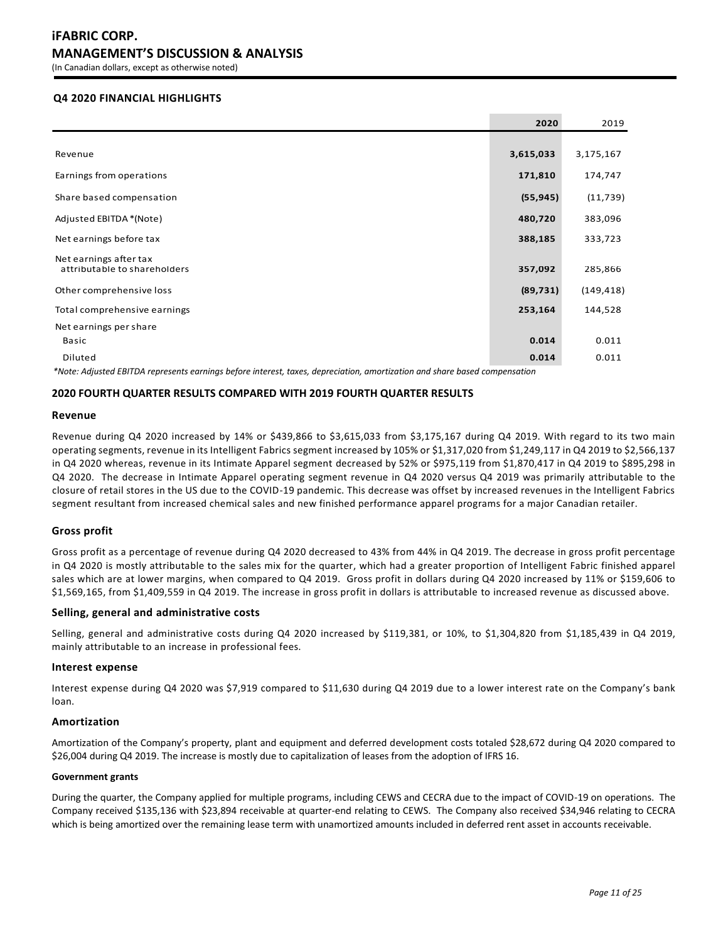# **Q4 2020 FINANCIAL HIGHLIGHTS**

|                              | 2020      | 2019       |
|------------------------------|-----------|------------|
|                              |           |            |
| Revenue                      | 3,615,033 | 3,175,167  |
| Earnings from operations     | 171,810   | 174,747    |
| Share based compensation     | (55, 945) | (11, 739)  |
| Adjusted EBITDA *(Note)      | 480,720   | 383,096    |
| Net earnings before tax      | 388,185   | 333,723    |
| Net earnings after tax       |           |            |
| attributable to shareholders | 357,092   | 285,866    |
| Other comprehensive loss     | (89, 731) | (149, 418) |
| Total comprehensive earnings | 253,164   | 144,528    |
| Net earnings per share       |           |            |
| Basic                        | 0.014     | 0.011      |
| Diluted                      | 0.014     | 0.011      |

*\*Note: Adjusted EBITDA represents earnings before interest, taxes, depreciation, amortization and share based compensation*

# **2020 FOURTH QUARTER RESULTS COMPARED WITH 2019 FOURTH QUARTER RESULTS**

#### **Revenue**

Revenue during Q4 2020 increased by 14% or \$439,866 to \$3,615,033 from \$3,175,167 during Q4 2019. With regard to its two main operating segments, revenue in its Intelligent Fabrics segment increased by 105% or \$1,317,020 from \$1,249,117 in Q4 2019 to \$2,566,137 in Q4 2020 whereas, revenue in its Intimate Apparel segment decreased by 52% or \$975,119 from \$1,870,417 in Q4 2019 to \$895,298 in Q4 2020. The decrease in Intimate Apparel operating segment revenue in Q4 2020 versus Q4 2019 was primarily attributable to the closure of retail stores in the US due to the COVID-19 pandemic. This decrease was offset by increased revenues in the Intelligent Fabrics segment resultant from increased chemical sales and new finished performance apparel programs for a major Canadian retailer.

### **Gross profit**

Gross profit as a percentage of revenue during Q4 2020 decreased to 43% from 44% in Q4 2019. The decrease in gross profit percentage in Q4 2020 is mostly attributable to the sales mix for the quarter, which had a greater proportion of Intelligent Fabric finished apparel sales which are at lower margins, when compared to Q4 2019. Gross profit in dollars during Q4 2020 increased by 11% or \$159,606 to \$1,569,165, from \$1,409,559 in Q4 2019. The increase in gross profit in dollars is attributable to increased revenue as discussed above.

### **Selling, general and administrative costs**

Selling, general and administrative costs during Q4 2020 increased by \$119,381, or 10%, to \$1,304,820 from \$1,185,439 in Q4 2019, mainly attributable to an increase in professional fees.

### **Interest expense**

Interest expense during Q4 2020 was \$7,919 compared to \$11,630 during Q4 2019 due to a lower interest rate on the Company's bank loan.

## **Amortization**

Amortization of the Company's property, plant and equipment and deferred development costs totaled \$28,672 during Q4 2020 compared to \$26,004 during Q4 2019. The increase is mostly due to capitalization of leases from the adoption of IFRS 16.

#### **Government grants**

During the quarter, the Company applied for multiple programs, including CEWS and CECRA due to the impact of COVID-19 on operations. The Company received \$135,136 with \$23,894 receivable at quarter-end relating to CEWS. The Company also received \$34,946 relating to CECRA which is being amortized over the remaining lease term with unamortized amounts included in deferred rent asset in accounts receivable.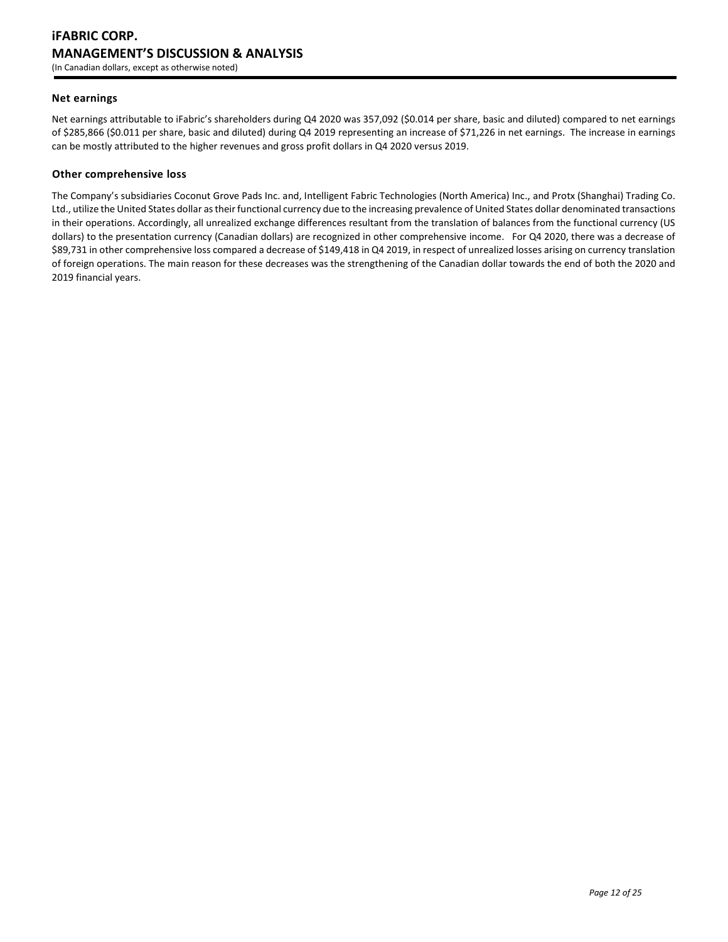# **iFABRIC CORP. MANAGEMENT'S DISCUSSION & ANALYSIS** (In Canadian dollars, except as otherwise noted)

## **Net earnings**

Net earnings attributable to iFabric's shareholders during Q4 2020 was 357,092 (\$0.014 per share, basic and diluted) compared to net earnings of \$285,866 (\$0.011 per share, basic and diluted) during Q4 2019 representing an increase of \$71,226 in net earnings. The increase in earnings can be mostly attributed to the higher revenues and gross profit dollars in Q4 2020 versus 2019.

# **Other comprehensive loss**

The Company's subsidiaries Coconut Grove Pads Inc. and, Intelligent Fabric Technologies (North America) Inc., and Protx (Shanghai) Trading Co. Ltd., utilize the United States dollar as their functional currency due to the increasing prevalence of United States dollar denominated transactions in their operations. Accordingly, all unrealized exchange differences resultant from the translation of balances from the functional currency (US dollars) to the presentation currency (Canadian dollars) are recognized in other comprehensive income. For Q4 2020, there was a decrease of \$89,731 in other comprehensive loss compared a decrease of \$149,418 in Q4 2019, in respect of unrealized losses arising on currency translation of foreign operations. The main reason for these decreases was the strengthening of the Canadian dollar towards the end of both the 2020 and 2019 financial years.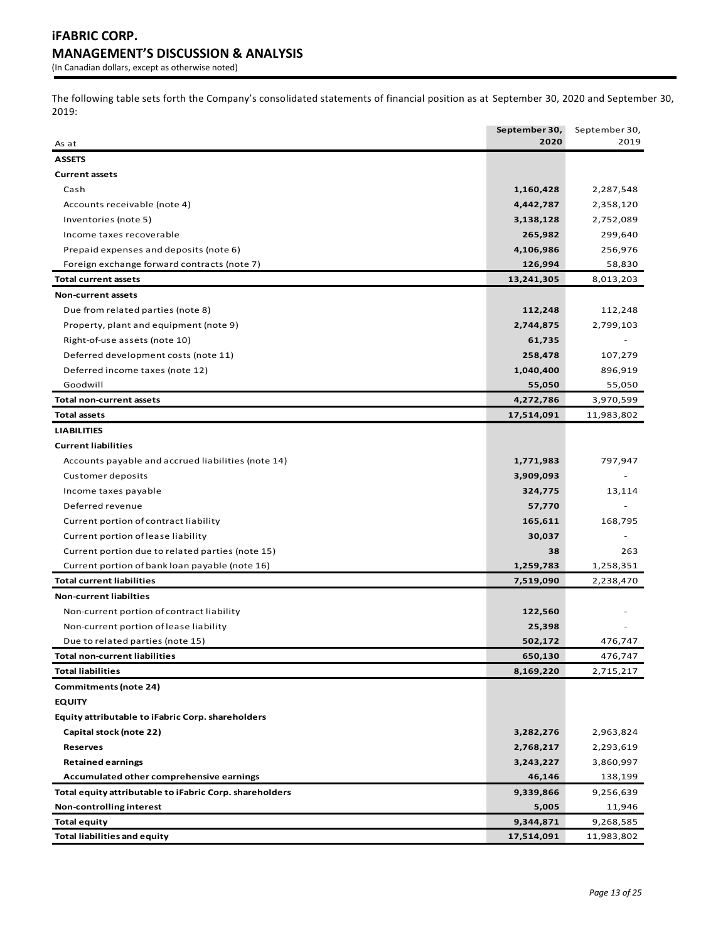The following table sets forth the Company's consolidated statements of financial position as at September 30, 2020 and September 30, 2019:

|                                                         | September 30, | September 30, |
|---------------------------------------------------------|---------------|---------------|
| As at                                                   | 2020          | 2019          |
| <b>ASSETS</b>                                           |               |               |
| <b>Current assets</b>                                   |               |               |
| Cash                                                    | 1,160,428     | 2,287,548     |
| Accounts receivable (note 4)                            | 4,442,787     | 2,358,120     |
| Inventories (note 5)                                    | 3,138,128     | 2,752,089     |
| Income taxes recoverable                                | 265,982       | 299,640       |
| Prepaid expenses and deposits (note 6)                  | 4,106,986     | 256,976       |
| Foreign exchange forward contracts (note 7)             | 126,994       | 58,830        |
| Total current assets                                    | 13,241,305    | 8,013,203     |
| <b>Non-current assets</b>                               |               |               |
| Due from related parties (note 8)                       | 112,248       | 112,248       |
| Property, plant and equipment (note 9)                  | 2,744,875     | 2,799,103     |
| Right-of-use assets (note 10)                           | 61,735        |               |
| Deferred development costs (note 11)                    | 258,478       | 107,279       |
| Deferred income taxes (note 12)                         | 1,040,400     | 896,919       |
| Goodwill                                                | 55,050        | 55,050        |
| <b>Total non-current assets</b>                         | 4,272,786     | 3,970,599     |
| <b>Total assets</b>                                     | 17,514,091    | 11,983,802    |
| <b>LIABILITIES</b>                                      |               |               |
| <b>Current liabilities</b>                              |               |               |
| Accounts payable and accrued liabilities (note 14)      | 1,771,983     | 797,947       |
| Customer deposits                                       | 3,909,093     |               |
| Income taxes payable                                    | 324,775       | 13,114        |
| Deferred revenue                                        | 57,770        |               |
| Current portion of contract liability                   | 165,611       | 168,795       |
| Current portion of lease liability                      | 30,037        |               |
| Current portion due to related parties (note 15)        | 38            | 263           |
| Current portion of bank loan payable (note 16)          | 1,259,783     | 1,258,351     |
| <b>Total current liabilities</b>                        | 7,519,090     | 2,238,470     |
| <b>Non-current liabilties</b>                           |               |               |
| Non-current portion of contract liability               | 122,560       |               |
| Non-current portion of lease liability                  | 25,398        |               |
| Due to related parties (note 15)                        | 502,172       | 476,747       |
| Total non-current liabilities                           | 650,130       | 476,747       |
| <b>Total liabilities</b>                                | 8,169,220     | 2,715,217     |
| Commitments (note 24)                                   |               |               |
| <b>EQUITY</b>                                           |               |               |
| Equity attributable to iFabric Corp. shareholders       |               |               |
| Capital stock (note 22)                                 | 3,282,276     | 2,963,824     |
| <b>Reserves</b>                                         | 2,768,217     | 2,293,619     |
| <b>Retained earnings</b>                                | 3,243,227     | 3,860,997     |
| Accumulated other comprehensive earnings                | 46,146        | 138,199       |
| Total equity attributable to iFabric Corp. shareholders | 9,339,866     | 9,256,639     |
| Non-controlling interest                                | 5,005         | 11,946        |
| <b>Total equity</b>                                     | 9,344,871     | 9,268,585     |
| <b>Total liabilities and equity</b>                     | 17,514,091    | 11,983,802    |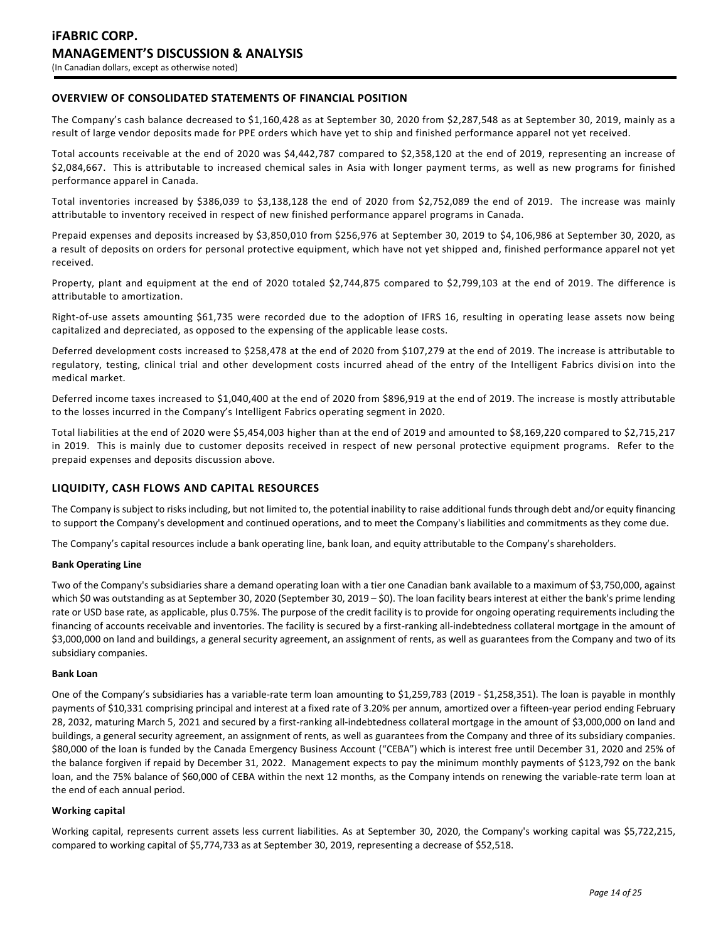# **OVERVIEW OF CONSOLIDATED STATEMENTS OF FINANCIAL POSITION**

The Company's cash balance decreased to \$1,160,428 as at September 30, 2020 from \$2,287,548 as at September 30, 2019, mainly as a result of large vendor deposits made for PPE orders which have yet to ship and finished performance apparel not yet received.

Total accounts receivable at the end of 2020 was \$4,442,787 compared to \$2,358,120 at the end of 2019, representing an increase of \$2,084,667. This is attributable to increased chemical sales in Asia with longer payment terms, as well as new programs for finished performance apparel in Canada.

Total inventories increased by \$386,039 to \$3,138,128 the end of 2020 from \$2,752,089 the end of 2019. The increase was mainly attributable to inventory received in respect of new finished performance apparel programs in Canada.

Prepaid expenses and deposits increased by \$3,850,010 from \$256,976 at September 30, 2019 to \$4,106,986 at September 30, 2020, as a result of deposits on orders for personal protective equipment, which have not yet shipped and, finished performance apparel not yet received.

Property, plant and equipment at the end of 2020 totaled \$2,744,875 compared to \$2,799,103 at the end of 2019. The difference is attributable to amortization.

Right-of-use assets amounting \$61,735 were recorded due to the adoption of IFRS 16, resulting in operating lease assets now being capitalized and depreciated, as opposed to the expensing of the applicable lease costs.

Deferred development costs increased to \$258,478 at the end of 2020 from \$107,279 at the end of 2019. The increase is attributable to regulatory, testing, clinical trial and other development costs incurred ahead of the entry of the Intelligent Fabrics division into the medical market.

Deferred income taxes increased to \$1,040,400 at the end of 2020 from \$896,919 at the end of 2019. The increase is mostly attributable to the losses incurred in the Company's Intelligent Fabrics operating segment in 2020.

Total liabilities at the end of 2020 were \$5,454,003 higher than at the end of 2019 and amounted to \$8,169,220 compared to \$2,715,217 in 2019. This is mainly due to customer deposits received in respect of new personal protective equipment programs. Refer to the prepaid expenses and deposits discussion above.

# **LIQUIDITY, CASH FLOWS AND CAPITAL RESOURCES**

The Company is subject to risks including, but not limited to, the potential inability to raise additional funds through debt and/or equity financing to support the Company's development and continued operations, and to meet the Company's liabilities and commitments as they come due.

The Company's capital resources include a bank operating line, bank loan, and equity attributable to the Company's shareholders.

### **Bank Operating Line**

Two of the Company's subsidiaries share a demand operating loan with a tier one Canadian bank available to a maximum of \$3,750,000, against which \$0 was outstanding as at September 30, 2020 (September 30, 2019 – \$0). The loan facility bears interest at either the bank's prime lending rate or USD base rate, as applicable, plus 0.75%. The purpose of the credit facility is to provide for ongoing operating requirements including the financing of accounts receivable and inventories. The facility is secured by a first-ranking all-indebtedness collateral mortgage in the amount of \$3,000,000 on land and buildings, a general security agreement, an assignment of rents, as well as guarantees from the Company and two of its subsidiary companies.

#### **Bank Loan**

One of the Company's subsidiaries has a variable-rate term loan amounting to \$1,259,783 (2019 - \$1,258,351). The loan is payable in monthly payments of \$10,331 comprising principal and interest at a fixed rate of 3.20% per annum, amortized over a fifteen-year period ending February 28, 2032, maturing March 5, 2021 and secured by a first-ranking all-indebtedness collateral mortgage in the amount of \$3,000,000 on land and buildings, a general security agreement, an assignment of rents, as well as guarantees from the Company and three of its subsidiary companies. \$80,000 of the loan is funded by the Canada Emergency Business Account ("CEBA") which is interest free until December 31, 2020 and 25% of the balance forgiven if repaid by December 31, 2022. Management expects to pay the minimum monthly payments of \$123,792 on the bank loan, and the 75% balance of \$60,000 of CEBA within the next 12 months, as the Company intends on renewing the variable-rate term loan at the end of each annual period.

## **Working capital**

Working capital, represents current assets less current liabilities. As at September 30, 2020, the Company's working capital was \$5,722,215, compared to working capital of \$5,774,733 as at September 30, 2019, representing a decrease of \$52,518.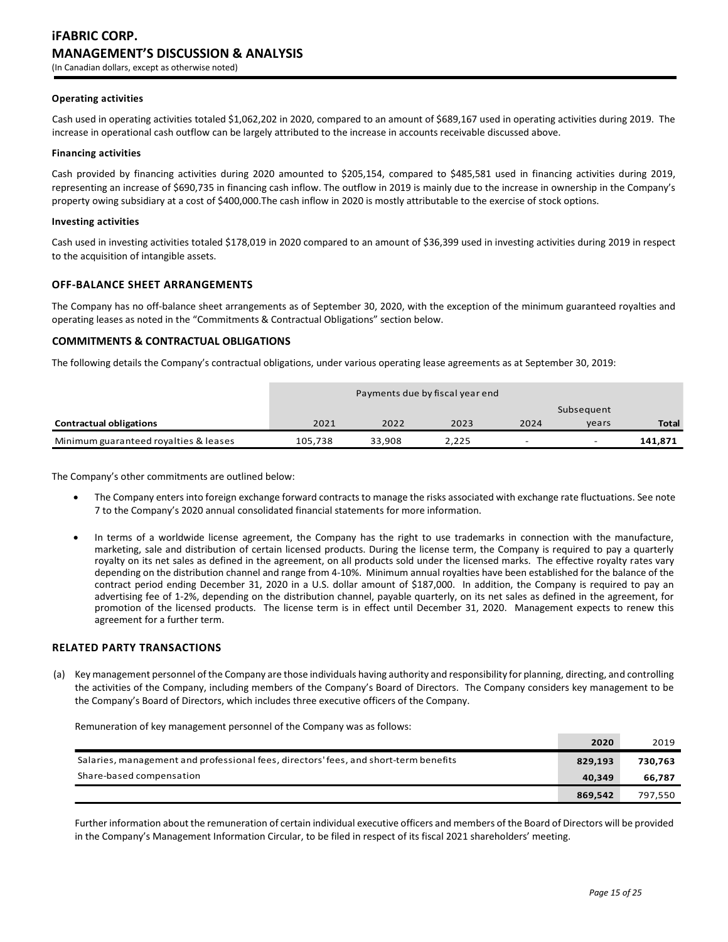#### **Operating activities**

Cash used in operating activities totaled \$1,062,202 in 2020, compared to an amount of \$689,167 used in operating activities during 2019. The increase in operational cash outflow can be largely attributed to the increase in accounts receivable discussed above.

#### **Financing activities**

Cash provided by financing activities during 2020 amounted to \$205,154, compared to \$485,581 used in financing activities during 2019, representing an increase of \$690,735 in financing cash inflow. The outflow in 2019 is mainly due to the increase in ownership in the Company's property owing subsidiary at a cost of \$400,000.The cash inflow in 2020 is mostly attributable to the exercise of stock options.

#### **Investing activities**

Cash used in investing activities totaled \$178,019 in 2020 compared to an amount of \$36,399 used in investing activities during 2019 in respect to the acquisition of intangible assets.

### **OFF-BALANCE SHEET ARRANGEMENTS**

The Company has no off-balance sheet arrangements as of September 30, 2020, with the exception of the minimum guaranteed royalties and operating leases as noted in the "Commitments & Contractual Obligations" section below.

## **COMMITMENTS & CONTRACTUAL OBLIGATIONS**

The following details the Company's contractual obligations, under various operating lease agreements as at September 30, 2019:

|                                       | Payments due by fiscal year end |        |       |                          |                          |              |
|---------------------------------------|---------------------------------|--------|-------|--------------------------|--------------------------|--------------|
|                                       |                                 |        |       |                          | Subsequent               |              |
| <b>Contractual obligations</b>        | 2021                            | 2022   | 2023  | 2024                     | years                    | <b>Total</b> |
| Minimum guaranteed royalties & leases | 105.738                         | 33.908 | 2.225 | $\overline{\phantom{0}}$ | $\overline{\phantom{0}}$ | 141.871      |

The Company's other commitments are outlined below:

- The Company enters into foreign exchange forward contracts to manage the risks associated with exchange rate fluctuations. See note 7 to the Company's 2020 annual consolidated financial statements for more information.
- In terms of a worldwide license agreement, the Company has the right to use trademarks in connection with the manufacture, marketing, sale and distribution of certain licensed products. During the license term, the Company is required to pay a quarterly royalty on its net sales as defined in the agreement, on all products sold under the licensed marks. The effective royalty rates vary depending on the distribution channel and range from 4-10%. Minimum annual royalties have been established for the balance of the contract period ending December 31, 2020 in a U.S. dollar amount of \$187,000. In addition, the Company is required to pay an advertising fee of 1-2%, depending on the distribution channel, payable quarterly, on its net sales as defined in the agreement, for promotion of the licensed products. The license term is in effect until December 31, 2020. Management expects to renew this agreement for a further term.

## **RELATED PARTY TRANSACTIONS**

(a) Key management personnel of the Company are those individuals having authority and responsibility for planning, directing, and controlling the activities of the Company, including members of the Company's Board of Directors. The Company considers key management to be the Company's Board of Directors, which includes three executive officers of the Company.

Remuneration of key management personnel of the Company was as follows:

|                                                                                      | 2020    | 2019    |
|--------------------------------------------------------------------------------------|---------|---------|
| Salaries, management and professional fees, directors' fees, and short-term benefits | 829.193 | 730.763 |
| Share-based compensation                                                             | 40.349  | 66,787  |
|                                                                                      | 869.542 | 797.550 |

Further information about the remuneration of certain individual executive officers and members of the Board of Directors will be provided in the Company's Management Information Circular, to be filed in respect of its fiscal 2021 shareholders' meeting.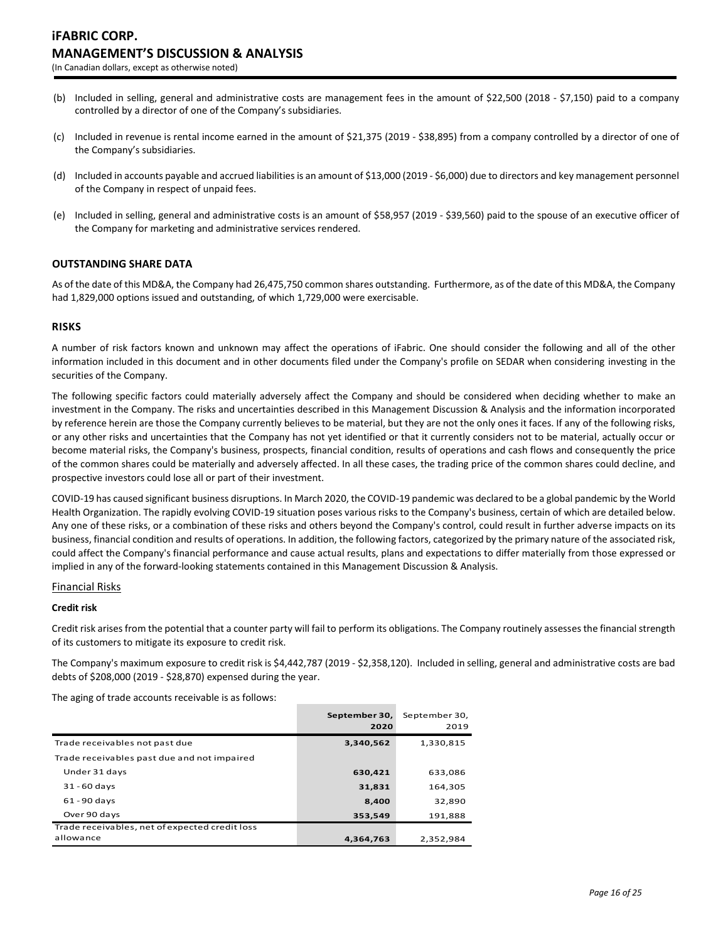- (b) Included in selling, general and administrative costs are management fees in the amount of \$22,500 (2018 \$7,150) paid to a company controlled by a director of one of the Company's subsidiaries.
- (c) Included in revenue is rental income earned in the amount of \$21,375 (2019 \$38,895) from a company controlled by a director of one of the Company's subsidiaries.
- (d) Included in accounts payable and accrued liabilities is an amount of \$13,000 (2019 \$6,000) due to directors and key management personnel of the Company in respect of unpaid fees.
- (e) Included in selling, general and administrative costs is an amount of \$58,957 (2019 \$39,560) paid to the spouse of an executive officer of the Company for marketing and administrative services rendered.

# **OUTSTANDING SHARE DATA**

As of the date of this MD&A, the Company had 26,475,750 common shares outstanding. Furthermore, as of the date of this MD&A, the Company had 1,829,000 options issued and outstanding, of which 1,729,000 were exercisable.

### **RISKS**

A number of risk factors known and unknown may affect the operations of iFabric. One should consider the following and all of the other information included in this document and in other documents filed under the Company's profile on SEDAR when considering investing in the securities of the Company.

The following specific factors could materially adversely affect the Company and should be considered when deciding whether to make an investment in the Company. The risks and uncertainties described in this Management Discussion & Analysis and the information incorporated by reference herein are those the Company currently believes to be material, but they are not the only ones it faces. If any of the following risks, or any other risks and uncertainties that the Company has not yet identified or that it currently considers not to be material, actually occur or become material risks, the Company's business, prospects, financial condition, results of operations and cash flows and consequently the price of the common shares could be materially and adversely affected. In all these cases, the trading price of the common shares could decline, and prospective investors could lose all or part of their investment.

COVID-19 has caused significant business disruptions. In March 2020, the COVID-19 pandemic was declared to be a global pandemic by the World Health Organization. The rapidly evolving COVID-19 situation poses various risks to the Company's business, certain of which are detailed below. Any one of these risks, or a combination of these risks and others beyond the Company's control, could result in further adverse impacts on its business, financial condition and results of operations. In addition, the following factors, categorized by the primary nature of the associated risk, could affect the Company's financial performance and cause actual results, plans and expectations to differ materially from those expressed or implied in any of the forward-looking statements contained in this Management Discussion & Analysis.

#### Financial Risks

#### **Credit risk**

Credit risk arises from the potential that a counter party will fail to perform its obligations. The Company routinely assesses the financial strength of its customers to mitigate its exposure to credit risk.

The Company's maximum exposure to credit risk is \$4,442,787 (2019 - \$2,358,120). Included in selling, general and administrative costs are bad debts of \$208,000 (2019 - \$28,870) expensed during the year.

The aging of trade accounts receivable is as follows:

|                                                | September 30,<br>2020 | September 30,<br>2019 |
|------------------------------------------------|-----------------------|-----------------------|
| Trade receivables not past due                 | 3,340,562             | 1,330,815             |
| Trade receivables past due and not impaired    |                       |                       |
| Under 31 days                                  | 630,421               | 633,086               |
| $31 - 60$ days                                 | 31,831                | 164,305               |
| $61 - 90$ days                                 | 8,400                 | 32,890                |
| Over 90 days                                   | 353,549               | 191,888               |
| Trade receivables, net of expected credit loss |                       |                       |
| allowance                                      | 4,364,763             | 2,352,984             |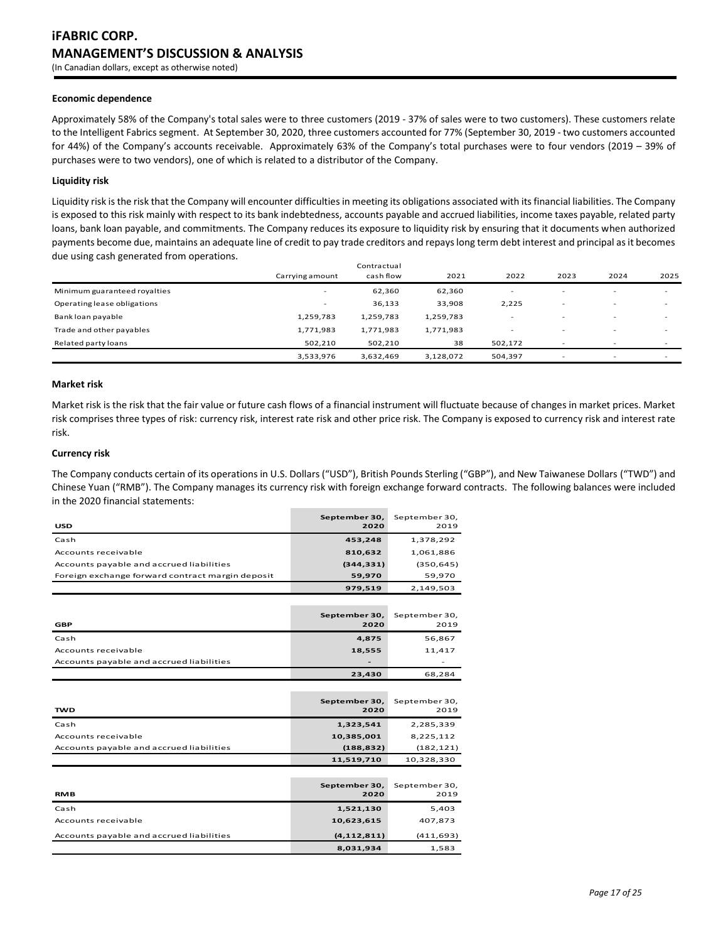#### **Economic dependence**

Approximately 58% of the Company's total sales were to three customers (2019 - 37% of sales were to two customers). These customers relate to the Intelligent Fabrics segment. At September 30, 2020, three customers accounted for 77% (September 30, 2019 - two customers accounted for 44%) of the Company's accounts receivable. Approximately 63% of the Company's total purchases were to four vendors (2019 – 39% of purchases were to two vendors), one of which is related to a distributor of the Company.

#### **Liquidity risk**

Liquidity risk is the risk that the Company will encounter difficulties in meeting its obligations associated with its financial liabilities. The Company is exposed to this risk mainly with respect to its bank indebtedness, accounts payable and accrued liabilities, income taxes payable, related party loans, bank loan payable, and commitments. The Company reduces its exposure to liquidity risk by ensuring that it documents when authorized payments become due, maintains an adequate line of credit to pay trade creditors and repays long term debt interest and principal as it becomes due using cash generated from operations.

|                              | Carrying amount          | Contractual<br>cash flow | 2021      | 2022    | 2023 | 2024                     | 2025     |
|------------------------------|--------------------------|--------------------------|-----------|---------|------|--------------------------|----------|
| Minimum guaranteed royalties | $\overline{\phantom{a}}$ | 62,360                   | 62,360    |         | ۰    | $\overline{\phantom{a}}$ | $\sim$   |
| Operating lease obligations  | $\overline{\phantom{a}}$ | 36,133                   | 33,908    | 2,225   |      |                          |          |
| Bank loan payable            | 1,259,783                | 1,259,783                | 1,259,783 |         |      |                          |          |
| Trade and other payables     | 1,771,983                | 1,771,983                | 1,771,983 |         | ۰    | -                        | $\sim$   |
| Related party loans          | 502,210                  | 502,210                  | 38        | 502,172 | ۰    |                          | $\equiv$ |
|                              | 3,533,976                | 3,632,469                | 3,128,072 | 504,397 |      | $\overline{\phantom{a}}$ | $\equiv$ |

#### **Market risk**

Market risk is the risk that the fair value or future cash flows of a financial instrument will fluctuate because of changes in market prices. Market risk comprises three types of risk: currency risk, interest rate risk and other price risk. The Company is exposed to currency risk and interest rate risk.

#### **Currency risk**

The Company conducts certain of its operations in U.S. Dollars ("USD"), British Pounds Sterling ("GBP"), and New Taiwanese Dollars ("TWD") and Chinese Yuan ("RMB"). The Company manages its currency risk with foreign exchange forward contracts. The following balances were included in the 2020 financial statements:

| <b>USD</b>                                       | September 30,<br>2020 | September 30,<br>2019 |
|--------------------------------------------------|-----------------------|-----------------------|
| Cash                                             | 453,248               | 1,378,292             |
| Accounts receivable                              | 810,632               | 1,061,886             |
| Accounts payable and accrued liabilities         | (344, 331)            | (350, 645)            |
| Foreign exchange forward contract margin deposit | 59,970                | 59,970                |
|                                                  | 979,519               | 2,149,503             |
|                                                  |                       |                       |
| <b>GBP</b>                                       | September 30,<br>2020 | September 30,<br>2019 |
| Cash                                             | 4,875                 | 56,867                |
| Accounts receivable                              | 18,555                | 11,417                |
| Accounts payable and accrued liabilities         |                       |                       |
|                                                  | 23,430                | 68,284                |
|                                                  |                       |                       |
| TWD                                              | September 30,<br>2020 | September 30,<br>2019 |
| Cash                                             | 1,323,541             | 2,285,339             |
| Accounts receivable                              | 10,385,001            | 8,225,112             |
| Accounts payable and accrued liabilities         | (188, 832)            | (182, 121)            |
|                                                  | 11,519,710            | 10,328,330            |
|                                                  |                       |                       |
| <b>RMB</b>                                       | September 30,<br>2020 | September 30,<br>2019 |
| Cash                                             | 1,521,130             | 5,403                 |
| Accounts receivable                              | 10,623,615            | 407,873               |
| Accounts payable and accrued liabilities         | (4, 112, 811)         | (411, 693)            |
|                                                  | 8,031,934             | 1,583                 |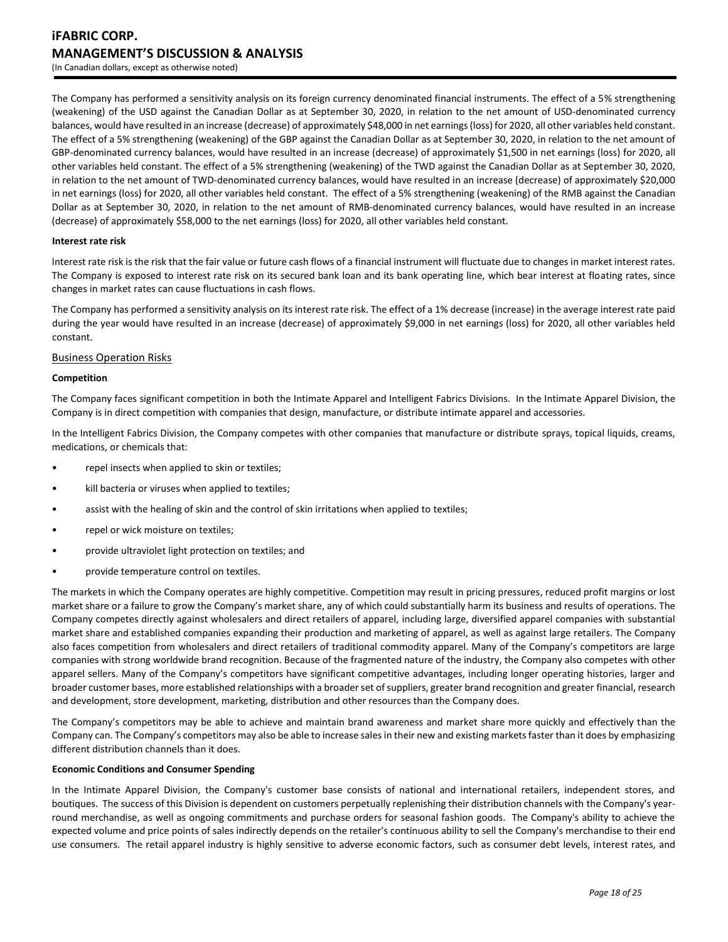The Company has performed a sensitivity analysis on its foreign currency denominated financial instruments. The effect of a 5% strengthening (weakening) of the USD against the Canadian Dollar as at September 30, 2020, in relation to the net amount of USD-denominated currency balances, would have resulted in an increase (decrease) of approximately \$48,000 in net earnings (loss) for 2020, all other variables held constant. The effect of a 5% strengthening (weakening) of the GBP against the Canadian Dollar as at September 30, 2020, in relation to the net amount of GBP-denominated currency balances, would have resulted in an increase (decrease) of approximately \$1,500 in net earnings (loss) for 2020, all other variables held constant. The effect of a 5% strengthening (weakening) of the TWD against the Canadian Dollar as at September 30, 2020, in relation to the net amount of TWD-denominated currency balances, would have resulted in an increase (decrease) of approximately \$20,000 in net earnings (loss) for 2020, all other variables held constant. The effect of a 5% strengthening (weakening) of the RMB against the Canadian Dollar as at September 30, 2020, in relation to the net amount of RMB-denominated currency balances, would have resulted in an increase (decrease) of approximately \$58,000 to the net earnings (loss) for 2020, all other variables held constant.

## **Interest rate risk**

Interest rate risk is the risk that the fair value or future cash flows of a financial instrument will fluctuate due to changes in market interest rates. The Company is exposed to interest rate risk on its secured bank loan and its bank operating line, which bear interest at floating rates, since changes in market rates can cause fluctuations in cash flows.

The Company has performed a sensitivity analysis on its interest rate risk. The effect of a 1% decrease (increase) in the average interest rate paid during the year would have resulted in an increase (decrease) of approximately \$9,000 in net earnings (loss) for 2020, all other variables held constant.

#### Business Operation Risks

#### **Competition**

The Company faces significant competition in both the Intimate Apparel and Intelligent Fabrics Divisions. In the Intimate Apparel Division, the Company is in direct competition with companies that design, manufacture, or distribute intimate apparel and accessories.

In the Intelligent Fabrics Division, the Company competes with other companies that manufacture or distribute sprays, topical liquids, creams, medications, or chemicals that:

- repel insects when applied to skin or textiles;
- kill bacteria or viruses when applied to textiles;
- assist with the healing of skin and the control of skin irritations when applied to textiles;
- repel or wick moisture on textiles;
- provide ultraviolet light protection on textiles; and
- provide temperature control on textiles.

The markets in which the Company operates are highly competitive. Competition may result in pricing pressures, reduced profit margins or lost market share or a failure to grow the Company's market share, any of which could substantially harm its business and results of operations. The Company competes directly against wholesalers and direct retailers of apparel, including large, diversified apparel companies with substantial market share and established companies expanding their production and marketing of apparel, as well as against large retailers. The Company also faces competition from wholesalers and direct retailers of traditional commodity apparel. Many of the Company's competitors are large companies with strong worldwide brand recognition. Because of the fragmented nature of the industry, the Company also competes with other apparel sellers. Many of the Company's competitors have significant competitive advantages, including longer operating histories, larger and broader customer bases, more established relationships with a broader set of suppliers, greater brand recognition and greater financial, research and development, store development, marketing, distribution and other resources than the Company does.

The Company's competitors may be able to achieve and maintain brand awareness and market share more quickly and effectively than the Company can. The Company's competitors may also be able to increase sales in their new and existing markets faster than it does by emphasizing different distribution channels than it does.

#### **Economic Conditions and Consumer Spending**

In the Intimate Apparel Division, the Company's customer base consists of national and international retailers, independent stores, and boutiques. The success of this Division is dependent on customers perpetually replenishing their distribution channels with the Company's yearround merchandise, as well as ongoing commitments and purchase orders for seasonal fashion goods. The Company's ability to achieve the expected volume and price points of sales indirectly depends on the retailer's continuous ability to sell the Company's merchandise to their end use consumers. The retail apparel industry is highly sensitive to adverse economic factors, such as consumer debt levels, interest rates, and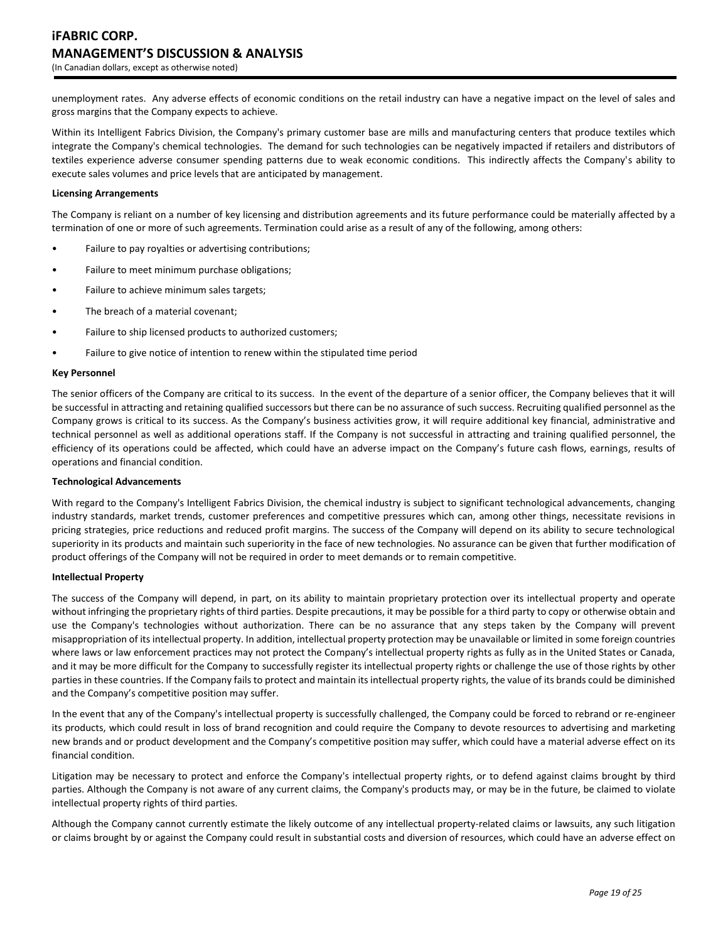unemployment rates. Any adverse effects of economic conditions on the retail industry can have a negative impact on the level of sales and gross margins that the Company expects to achieve.

Within its Intelligent Fabrics Division, the Company's primary customer base are mills and manufacturing centers that produce textiles which integrate the Company's chemical technologies. The demand for such technologies can be negatively impacted if retailers and distributors of textiles experience adverse consumer spending patterns due to weak economic conditions. This indirectly affects the Company's ability to execute sales volumes and price levels that are anticipated by management.

#### **Licensing Arrangements**

The Company is reliant on a number of key licensing and distribution agreements and its future performance could be materially affected by a termination of one or more of such agreements. Termination could arise as a result of any of the following, among others:

- Failure to pay royalties or advertising contributions;
- Failure to meet minimum purchase obligations;
- Failure to achieve minimum sales targets;
- The breach of a material covenant;
- Failure to ship licensed products to authorized customers;
- Failure to give notice of intention to renew within the stipulated time period

#### **Key Personnel**

The senior officers of the Company are critical to its success. In the event of the departure of a senior officer, the Company believes that it will be successful in attracting and retaining qualified successors but there can be no assurance of such success. Recruiting qualified personnel as the Company grows is critical to its success. As the Company's business activities grow, it will require additional key financial, administrative and technical personnel as well as additional operations staff. If the Company is not successful in attracting and training qualified personnel, the efficiency of its operations could be affected, which could have an adverse impact on the Company's future cash flows, earnings, results of operations and financial condition.

### **Technological Advancements**

With regard to the Company's Intelligent Fabrics Division, the chemical industry is subject to significant technological advancements, changing industry standards, market trends, customer preferences and competitive pressures which can, among other things, necessitate revisions in pricing strategies, price reductions and reduced profit margins. The success of the Company will depend on its ability to secure technological superiority in its products and maintain such superiority in the face of new technologies. No assurance can be given that further modification of product offerings of the Company will not be required in order to meet demands or to remain competitive.

### **Intellectual Property**

The success of the Company will depend, in part, on its ability to maintain proprietary protection over its intellectual property and operate without infringing the proprietary rights of third parties. Despite precautions, it may be possible for a third party to copy or otherwise obtain and use the Company's technologies without authorization. There can be no assurance that any steps taken by the Company will prevent misappropriation of its intellectual property. In addition, intellectual property protection may be unavailable or limited in some foreign countries where laws or law enforcement practices may not protect the Company's intellectual property rights as fully as in the United States or Canada, and it may be more difficult for the Company to successfully register its intellectual property rights or challenge the use of those rights by other parties in these countries. If the Company fails to protect and maintain its intellectual property rights, the value of its brands could be diminished and the Company's competitive position may suffer.

In the event that any of the Company's intellectual property is successfully challenged, the Company could be forced to rebrand or re-engineer its products, which could result in loss of brand recognition and could require the Company to devote resources to advertising and marketing new brands and or product development and the Company's competitive position may suffer, which could have a material adverse effect on its financial condition.

Litigation may be necessary to protect and enforce the Company's intellectual property rights, or to defend against claims brought by third parties. Although the Company is not aware of any current claims, the Company's products may, or may be in the future, be claimed to violate intellectual property rights of third parties.

Although the Company cannot currently estimate the likely outcome of any intellectual property-related claims or lawsuits, any such litigation or claims brought by or against the Company could result in substantial costs and diversion of resources, which could have an adverse effect on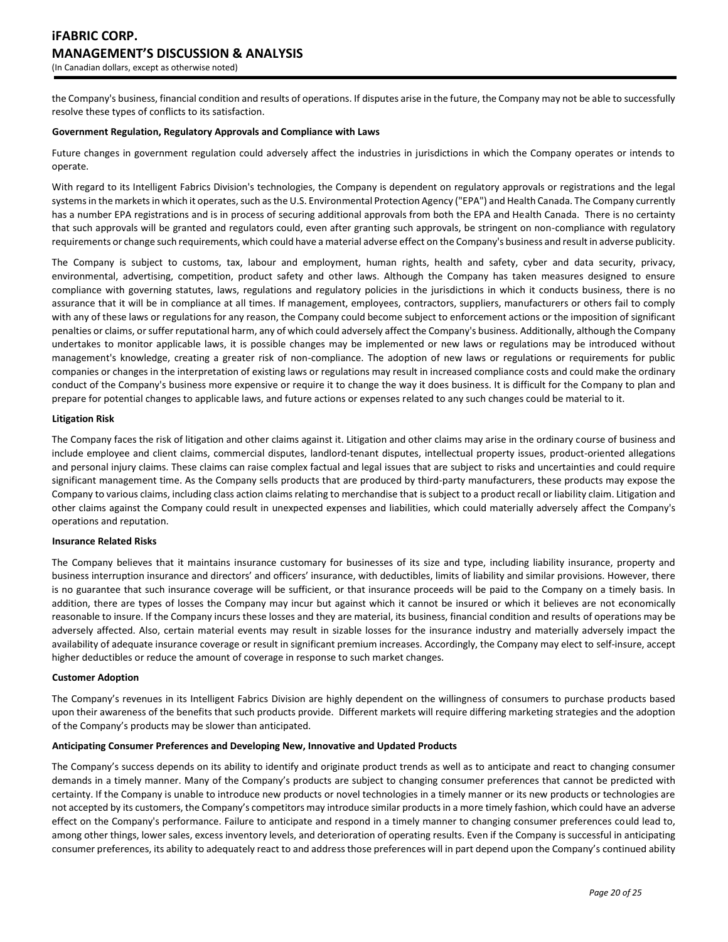the Company's business, financial condition and results of operations. If disputes arise in the future, the Company may not be able to successfully resolve these types of conflicts to its satisfaction.

#### **Government Regulation, Regulatory Approvals and Compliance with Laws**

Future changes in government regulation could adversely affect the industries in jurisdictions in which the Company operates or intends to operate.

With regard to its Intelligent Fabrics Division's technologies, the Company is dependent on regulatory approvals or registrations and the legal systems in the markets in which it operates, such as the U.S. Environmental Protection Agency ("EPA") and Health Canada. The Company currently has a number EPA registrations and is in process of securing additional approvals from both the EPA and Health Canada. There is no certainty that such approvals will be granted and regulators could, even after granting such approvals, be stringent on non-compliance with regulatory requirements or change such requirements, which could have a material adverse effect on the Company's business and result in adverse publicity.

The Company is subject to customs, tax, labour and employment, human rights, health and safety, cyber and data security, privacy, environmental, advertising, competition, product safety and other laws. Although the Company has taken measures designed to ensure compliance with governing statutes, laws, regulations and regulatory policies in the jurisdictions in which it conducts business, there is no assurance that it will be in compliance at all times. If management, employees, contractors, suppliers, manufacturers or others fail to comply with any of these laws or regulations for any reason, the Company could become subject to enforcement actions or the imposition of significant penalties or claims, or suffer reputational harm, any of which could adversely affect the Company's business. Additionally, although the Company undertakes to monitor applicable laws, it is possible changes may be implemented or new laws or regulations may be introduced without management's knowledge, creating a greater risk of non-compliance. The adoption of new laws or regulations or requirements for public companies or changes in the interpretation of existing laws or regulations may result in increased compliance costs and could make the ordinary conduct of the Company's business more expensive or require it to change the way it does business. It is difficult for the Company to plan and prepare for potential changes to applicable laws, and future actions or expenses related to any such changes could be material to it.

#### **Litigation Risk**

The Company faces the risk of litigation and other claims against it. Litigation and other claims may arise in the ordinary course of business and include employee and client claims, commercial disputes, landlord-tenant disputes, intellectual property issues, product-oriented allegations and personal injury claims. These claims can raise complex factual and legal issues that are subject to risks and uncertainties and could require significant management time. As the Company sells products that are produced by third-party manufacturers, these products may expose the Company to various claims, including class action claims relating to merchandise that is subject to a product recall or liability claim. Litigation and other claims against the Company could result in unexpected expenses and liabilities, which could materially adversely affect the Company's operations and reputation.

#### **Insurance Related Risks**

The Company believes that it maintains insurance customary for businesses of its size and type, including liability insurance, property and business interruption insurance and directors' and officers' insurance, with deductibles, limits of liability and similar provisions. However, there is no guarantee that such insurance coverage will be sufficient, or that insurance proceeds will be paid to the Company on a timely basis. In addition, there are types of losses the Company may incur but against which it cannot be insured or which it believes are not economically reasonable to insure. If the Company incurs these losses and they are material, its business, financial condition and results of operations may be adversely affected. Also, certain material events may result in sizable losses for the insurance industry and materially adversely impact the availability of adequate insurance coverage or result in significant premium increases. Accordingly, the Company may elect to self-insure, accept higher deductibles or reduce the amount of coverage in response to such market changes.

#### **Customer Adoption**

The Company's revenues in its Intelligent Fabrics Division are highly dependent on the willingness of consumers to purchase products based upon their awareness of the benefits that such products provide. Different markets will require differing marketing strategies and the adoption of the Company's products may be slower than anticipated.

#### **Anticipating Consumer Preferences and Developing New, Innovative and Updated Products**

The Company's success depends on its ability to identify and originate product trends as well as to anticipate and react to changing consumer demands in a timely manner. Many of the Company's products are subject to changing consumer preferences that cannot be predicted with certainty. If the Company is unable to introduce new products or novel technologies in a timely manner or its new products or technologies are not accepted by its customers, the Company's competitors may introduce similar products in a more timely fashion, which could have an adverse effect on the Company's performance. Failure to anticipate and respond in a timely manner to changing consumer preferences could lead to, among other things, lower sales, excess inventory levels, and deterioration of operating results. Even if the Company is successful in anticipating consumer preferences, its ability to adequately react to and address those preferences will in part depend upon the Company's continued ability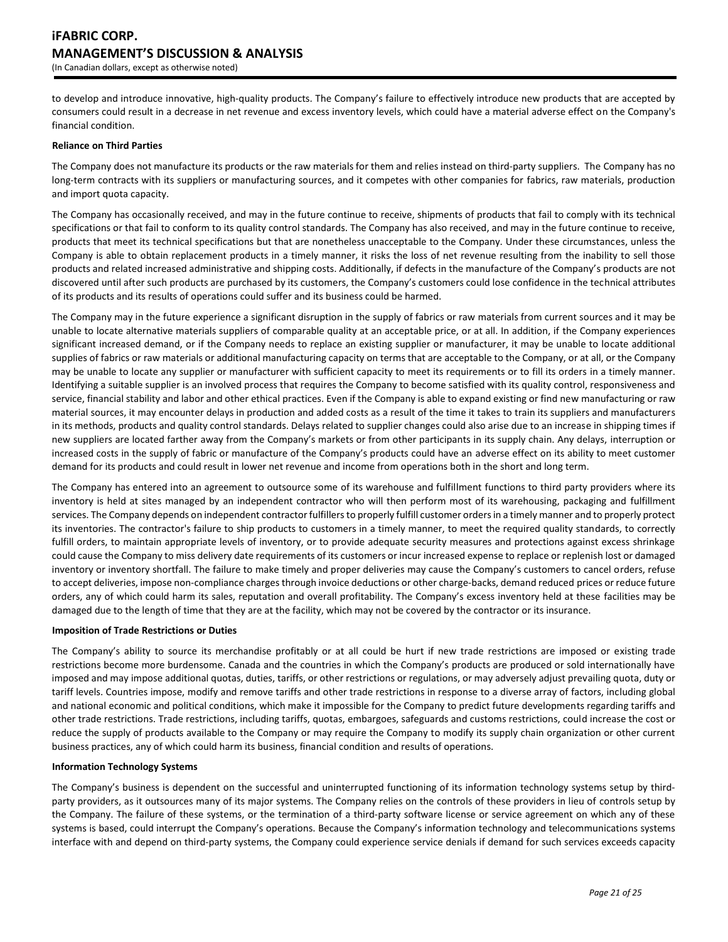to develop and introduce innovative, high-quality products. The Company's failure to effectively introduce new products that are accepted by consumers could result in a decrease in net revenue and excess inventory levels, which could have a material adverse effect on the Company's financial condition.

## **Reliance on Third Parties**

The Company does not manufacture its products or the raw materials for them and relies instead on third-party suppliers. The Company has no long-term contracts with its suppliers or manufacturing sources, and it competes with other companies for fabrics, raw materials, production and import quota capacity.

The Company has occasionally received, and may in the future continue to receive, shipments of products that fail to comply with its technical specifications or that fail to conform to its quality control standards. The Company has also received, and may in the future continue to receive, products that meet its technical specifications but that are nonetheless unacceptable to the Company. Under these circumstances, unless the Company is able to obtain replacement products in a timely manner, it risks the loss of net revenue resulting from the inability to sell those products and related increased administrative and shipping costs. Additionally, if defects in the manufacture of the Company's products are not discovered until after such products are purchased by its customers, the Company's customers could lose confidence in the technical attributes of its products and its results of operations could suffer and its business could be harmed.

The Company may in the future experience a significant disruption in the supply of fabrics or raw materials from current sources and it may be unable to locate alternative materials suppliers of comparable quality at an acceptable price, or at all. In addition, if the Company experiences significant increased demand, or if the Company needs to replace an existing supplier or manufacturer, it may be unable to locate additional supplies of fabrics or raw materials or additional manufacturing capacity on terms that are acceptable to the Company, or at all, or the Company may be unable to locate any supplier or manufacturer with sufficient capacity to meet its requirements or to fill its orders in a timely manner. Identifying a suitable supplier is an involved process that requires the Company to become satisfied with its quality control, responsiveness and service, financial stability and labor and other ethical practices. Even if the Company is able to expand existing or find new manufacturing or raw material sources, it may encounter delays in production and added costs as a result of the time it takes to train its suppliers and manufacturers in its methods, products and quality control standards. Delays related to supplier changes could also arise due to an increase in shipping times if new suppliers are located farther away from the Company's markets or from other participants in its supply chain. Any delays, interruption or increased costs in the supply of fabric or manufacture of the Company's products could have an adverse effect on its ability to meet customer demand for its products and could result in lower net revenue and income from operations both in the short and long term.

The Company has entered into an agreement to outsource some of its warehouse and fulfillment functions to third party providers where its inventory is held at sites managed by an independent contractor who will then perform most of its warehousing, packaging and fulfillment services. The Company depends on independent contractor fulfillers to properly fulfill customer orders in a timely manner and to properly protect its inventories. The contractor's failure to ship products to customers in a timely manner, to meet the required quality standards, to correctly fulfill orders, to maintain appropriate levels of inventory, or to provide adequate security measures and protections against excess shrinkage could cause the Company to miss delivery date requirements of its customers or incur increased expense to replace or replenish lost or damaged inventory or inventory shortfall. The failure to make timely and proper deliveries may cause the Company's customers to cancel orders, refuse to accept deliveries, impose non-compliance charges through invoice deductions or other charge-backs, demand reduced prices or reduce future orders, any of which could harm its sales, reputation and overall profitability. The Company's excess inventory held at these facilities may be damaged due to the length of time that they are at the facility, which may not be covered by the contractor or its insurance.

### **Imposition of Trade Restrictions or Duties**

The Company's ability to source its merchandise profitably or at all could be hurt if new trade restrictions are imposed or existing trade restrictions become more burdensome. Canada and the countries in which the Company's products are produced or sold internationally have imposed and may impose additional quotas, duties, tariffs, or other restrictions or regulations, or may adversely adjust prevailing quota, duty or tariff levels. Countries impose, modify and remove tariffs and other trade restrictions in response to a diverse array of factors, including global and national economic and political conditions, which make it impossible for the Company to predict future developments regarding tariffs and other trade restrictions. Trade restrictions, including tariffs, quotas, embargoes, safeguards and customs restrictions, could increase the cost or reduce the supply of products available to the Company or may require the Company to modify its supply chain organization or other current business practices, any of which could harm its business, financial condition and results of operations.

### **Information Technology Systems**

The Company's business is dependent on the successful and uninterrupted functioning of its information technology systems setup by third‐ party providers, as it outsources many of its major systems. The Company relies on the controls of these providers in lieu of controls setup by the Company. The failure of these systems, or the termination of a third‐party software license or service agreement on which any of these systems is based, could interrupt the Company's operations. Because the Company's information technology and telecommunications systems interface with and depend on third‐party systems, the Company could experience service denials if demand for such services exceeds capacity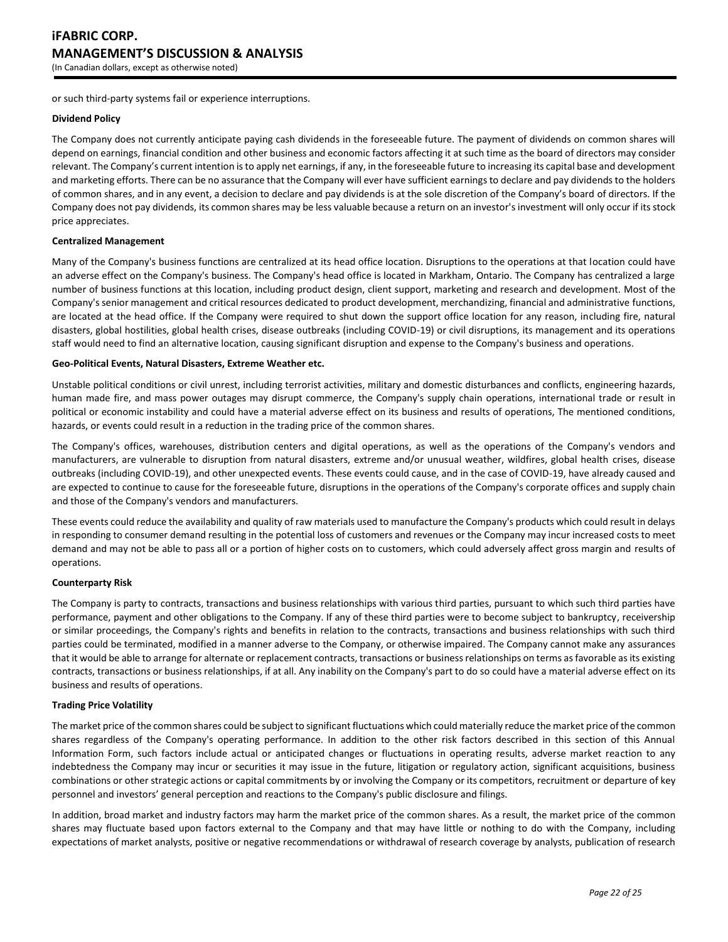or such third‐party systems fail or experience interruptions.

## **Dividend Policy**

The Company does not currently anticipate paying cash dividends in the foreseeable future. The payment of dividends on common shares will depend on earnings, financial condition and other business and economic factors affecting it at such time as the board of directors may consider relevant. The Company's current intention is to apply net earnings, if any, in the foreseeable future to increasing its capital base and development and marketing efforts. There can be no assurance that the Company will ever have sufficient earnings to declare and pay dividends to the holders of common shares, and in any event, a decision to declare and pay dividends is at the sole discretion of the Company's board of directors. If the Company does not pay dividends, its common shares may be less valuable because a return on an investor's investment will only occur if its stock price appreciates.

## **Centralized Management**

Many of the Company's business functions are centralized at its head office location. Disruptions to the operations at that location could have an adverse effect on the Company's business. The Company's head office is located in Markham, Ontario. The Company has centralized a large number of business functions at this location, including product design, client support, marketing and research and development. Most of the Company's senior management and critical resources dedicated to product development, merchandizing, financial and administrative functions, are located at the head office. If the Company were required to shut down the support office location for any reason, including fire, natural disasters, global hostilities, global health crises, disease outbreaks (including COVID-19) or civil disruptions, its management and its operations staff would need to find an alternative location, causing significant disruption and expense to the Company's business and operations.

### **Geo-Political Events, Natural Disasters, Extreme Weather etc.**

Unstable political conditions or civil unrest, including terrorist activities, military and domestic disturbances and conflicts, engineering hazards, human made fire, and mass power outages may disrupt commerce, the Company's supply chain operations, international trade or result in political or economic instability and could have a material adverse effect on its business and results of operations, The mentioned conditions, hazards, or events could result in a reduction in the trading price of the common shares.

The Company's offices, warehouses, distribution centers and digital operations, as well as the operations of the Company's vendors and manufacturers, are vulnerable to disruption from natural disasters, extreme and/or unusual weather, wildfires, global health crises, disease outbreaks (including COVID-19), and other unexpected events. These events could cause, and in the case of COVID-19, have already caused and are expected to continue to cause for the foreseeable future, disruptions in the operations of the Company's corporate offices and supply chain and those of the Company's vendors and manufacturers.

These events could reduce the availability and quality of raw materials used to manufacture the Company's products which could result in delays in responding to consumer demand resulting in the potential loss of customers and revenues or the Company may incur increased costs to meet demand and may not be able to pass all or a portion of higher costs on to customers, which could adversely affect gross margin and results of operations.

### **Counterparty Risk**

The Company is party to contracts, transactions and business relationships with various third parties, pursuant to which such third parties have performance, payment and other obligations to the Company. If any of these third parties were to become subject to bankruptcy, receivership or similar proceedings, the Company's rights and benefits in relation to the contracts, transactions and business relationships with such third parties could be terminated, modified in a manner adverse to the Company, or otherwise impaired. The Company cannot make any assurances that it would be able to arrange for alternate or replacement contracts, transactions or business relationships on terms as favorable as its existing contracts, transactions or business relationships, if at all. Any inability on the Company's part to do so could have a material adverse effect on its business and results of operations.

### **Trading Price Volatility**

The market price of the common shares could be subject to significant fluctuations which could materially reduce the market price of the common shares regardless of the Company's operating performance. In addition to the other risk factors described in this section of this Annual Information Form, such factors include actual or anticipated changes or fluctuations in operating results, adverse market reaction to any indebtedness the Company may incur or securities it may issue in the future, litigation or regulatory action, significant acquisitions, business combinations or other strategic actions or capital commitments by or involving the Company or its competitors, recruitment or departure of key personnel and investors' general perception and reactions to the Company's public disclosure and filings.

In addition, broad market and industry factors may harm the market price of the common shares. As a result, the market price of the common shares may fluctuate based upon factors external to the Company and that may have little or nothing to do with the Company, including expectations of market analysts, positive or negative recommendations or withdrawal of research coverage by analysts, publication of research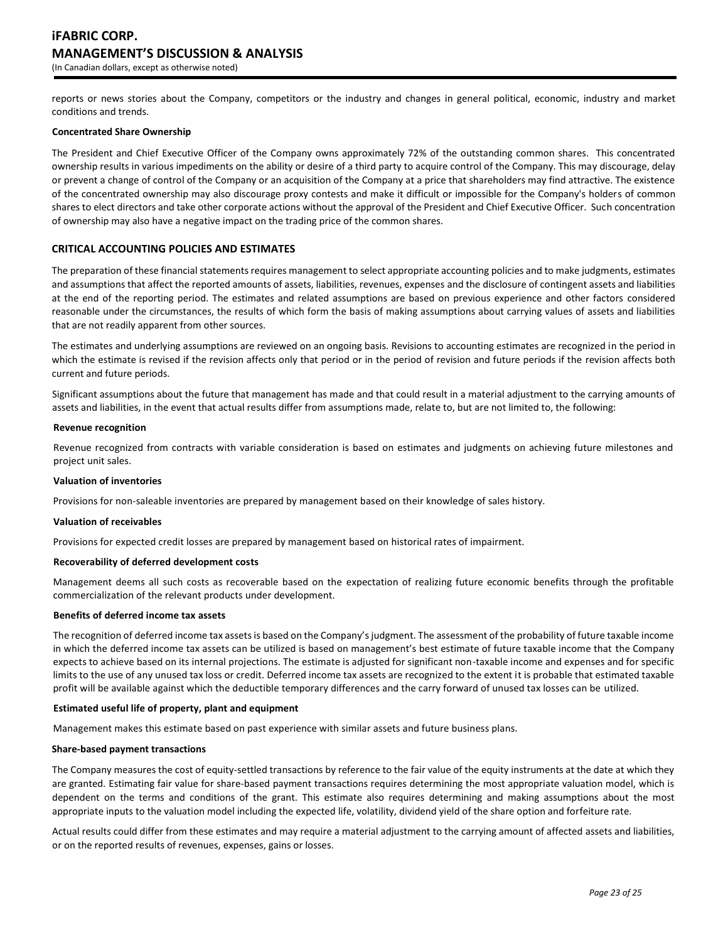reports or news stories about the Company, competitors or the industry and changes in general political, economic, industry and market conditions and trends.

#### **Concentrated Share Ownership**

The President and Chief Executive Officer of the Company owns approximately 72% of the outstanding common shares. This concentrated ownership results in various impediments on the ability or desire of a third party to acquire control of the Company. This may discourage, delay or prevent a change of control of the Company or an acquisition of the Company at a price that shareholders may find attractive. The existence of the concentrated ownership may also discourage proxy contests and make it difficult or impossible for the Company's holders of common shares to elect directors and take other corporate actions without the approval of the President and Chief Executive Officer. Such concentration of ownership may also have a negative impact on the trading price of the common shares.

### **CRITICAL ACCOUNTING POLICIES AND ESTIMATES**

The preparation of these financial statements requires management to select appropriate accounting policies and to make judgments, estimates and assumptions that affect the reported amounts of assets, liabilities, revenues, expenses and the disclosure of contingent assets and liabilities at the end of the reporting period. The estimates and related assumptions are based on previous experience and other factors considered reasonable under the circumstances, the results of which form the basis of making assumptions about carrying values of assets and liabilities that are not readily apparent from other sources.

The estimates and underlying assumptions are reviewed on an ongoing basis. Revisions to accounting estimates are recognized in the period in which the estimate is revised if the revision affects only that period or in the period of revision and future periods if the revision affects both current and future periods.

Significant assumptions about the future that management has made and that could result in a material adjustment to the carrying amounts of assets and liabilities, in the event that actual results differ from assumptions made, relate to, but are not limited to, the following:

#### **Revenue recognition**

Revenue recognized from contracts with variable consideration is based on estimates and judgments on achieving future milestones and project unit sales.

#### **Valuation of inventories**

Provisions for non-saleable inventories are prepared by management based on their knowledge of sales history.

#### **Valuation of receivables**

Provisions for expected credit losses are prepared by management based on historical rates of impairment.

#### **Recoverability of deferred development costs**

Management deems all such costs as recoverable based on the expectation of realizing future economic benefits through the profitable commercialization of the relevant products under development.

#### **Benefits of deferred income tax assets**

The recognition of deferred income tax assets is based on the Company's judgment. The assessment of the probability of future taxable income in which the deferred income tax assets can be utilized is based on management's best estimate of future taxable income that the Company expects to achieve based on its internal projections. The estimate is adjusted for significant non-taxable income and expenses and for specific limits to the use of any unused tax loss or credit. Deferred income tax assets are recognized to the extent it is probable that estimated taxable profit will be available against which the deductible temporary differences and the carry forward of unused tax losses can be utilized.

#### **Estimated useful life of property, plant and equipment**

Management makes this estimate based on past experience with similar assets and future business plans.

#### **Share-based payment transactions**

The Company measures the cost of equity-settled transactions by reference to the fair value of the equity instruments at the date at which they are granted. Estimating fair value for share-based payment transactions requires determining the most appropriate valuation model, which is dependent on the terms and conditions of the grant. This estimate also requires determining and making assumptions about the most appropriate inputs to the valuation model including the expected life, volatility, dividend yield of the share option and forfeiture rate.

Actual results could differ from these estimates and may require a material adjustment to the carrying amount of affected assets and liabilities, or on the reported results of revenues, expenses, gains or losses.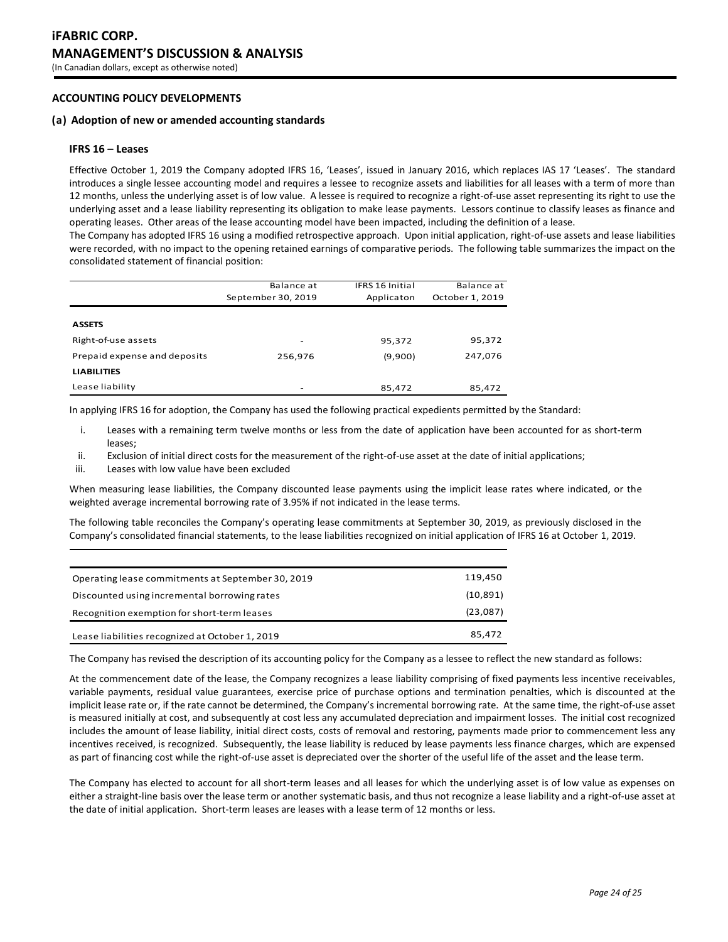# **ACCOUNTING POLICY DEVELOPMENTS**

## **(a) Adoption of new or amended accounting standards**

#### **IFRS 16 – Leases**

Effective October 1, 2019 the Company adopted IFRS 16, 'Leases', issued in January 2016, which replaces IAS 17 'Leases'. The standard introduces a single lessee accounting model and requires a lessee to recognize assets and liabilities for all leases with a term of more than 12 months, unless the underlying asset is of low value. A lessee is required to recognize a right-of-use asset representing its right to use the underlying asset and a lease liability representing its obligation to make lease payments. Lessors continue to classify leases as finance and operating leases. Other areas of the lease accounting model have been impacted, including the definition of a lease.

The Company has adopted IFRS 16 using a modified retrospective approach. Upon initial application, right-of-use assets and lease liabilities were recorded, with no impact to the opening retained earnings of comparative periods. The following table summarizes the impact on the consolidated statement of financial position:

|                              | Balance at<br>September 30, 2019 | IFRS 16 Initial<br>Applicaton | Balance at<br>October 1, 2019 |
|------------------------------|----------------------------------|-------------------------------|-------------------------------|
| <b>ASSETS</b>                |                                  |                               |                               |
| Right-of-use assets          | ۰                                | 95,372                        | 95,372                        |
| Prepaid expense and deposits | 256,976                          | (9,900)                       | 247,076                       |
| <b>LIABILITIES</b>           |                                  |                               |                               |
| Lease liability              | ۰                                | 85,472                        | 85,472                        |

In applying IFRS 16 for adoption, the Company has used the following practical expedients permitted by the Standard:

i. Leases with a remaining term twelve months or less from the date of application have been accounted for as short-term leases;

ii. Exclusion of initial direct costs for the measurement of the right-of-use asset at the date of initial applications;

iii. Leases with low value have been excluded

When measuring lease liabilities, the Company discounted lease payments using the implicit lease rates where indicated, or the weighted average incremental borrowing rate of 3.95% if not indicated in the lease terms.

The following table reconciles the Company's operating lease commitments at September 30, 2019, as previously disclosed in the Company's consolidated financial statements, to the lease liabilities recognized on initial application of IFRS 16 at October 1, 2019.

| Operating lease commitments at September 30, 2019 | 119,450   |
|---------------------------------------------------|-----------|
| Discounted using incremental borrowing rates      | (10, 891) |
| Recognition exemption for short-term leases       | (23,087)  |
| Lease liabilities recognized at October 1, 2019   | 85.472    |

The Company has revised the description of its accounting policy for the Company as a lessee to reflect the new standard as follows:

At the commencement date of the lease, the Company recognizes a lease liability comprising of fixed payments less incentive receivables, variable payments, residual value guarantees, exercise price of purchase options and termination penalties, which is discounted at the implicit lease rate or, if the rate cannot be determined, the Company's incremental borrowing rate. At the same time, the right-of-use asset is measured initially at cost, and subsequently at cost less any accumulated depreciation and impairment losses. The initial cost recognized includes the amount of lease liability, initial direct costs, costs of removal and restoring, payments made prior to commencement less any incentives received, is recognized. Subsequently, the lease liability is reduced by lease payments less finance charges, which are expensed as part of financing cost while the right-of-use asset is depreciated over the shorter of the useful life of the asset and the lease term.

The Company has elected to account for all short-term leases and all leases for which the underlying asset is of low value as expenses on either a straight-line basis over the lease term or another systematic basis, and thus not recognize a lease liability and a right-of-use asset at the date of initial application. Short-term leases are leases with a lease term of 12 months or less.